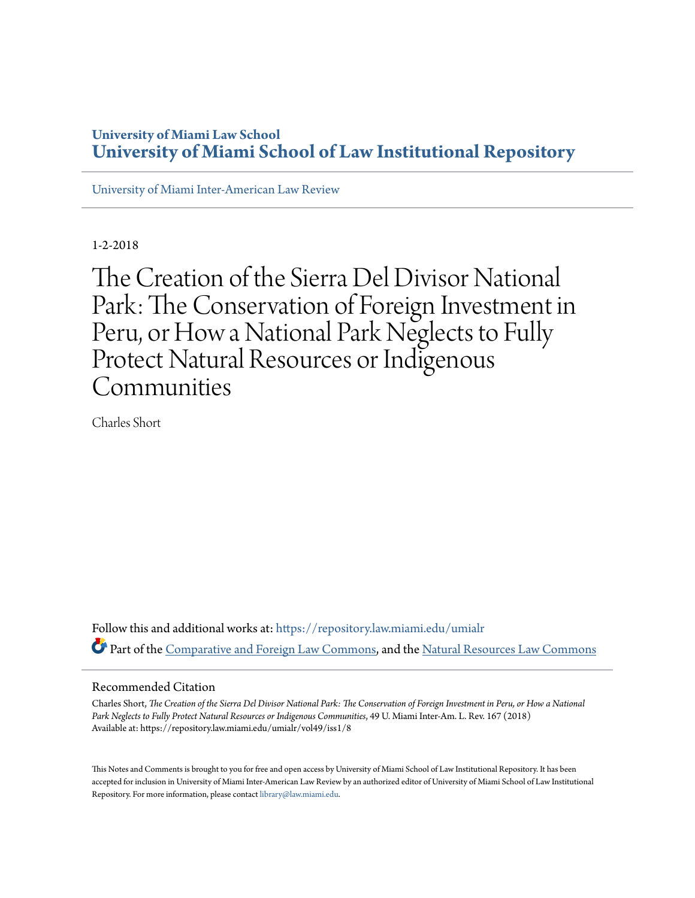# **University of Miami Law School [University of Miami School of Law Institutional Repository](https://repository.law.miami.edu?utm_source=repository.law.miami.edu%2Fumialr%2Fvol49%2Fiss1%2F8&utm_medium=PDF&utm_campaign=PDFCoverPages)**

[University of Miami Inter-American Law Review](https://repository.law.miami.edu/umialr?utm_source=repository.law.miami.edu%2Fumialr%2Fvol49%2Fiss1%2F8&utm_medium=PDF&utm_campaign=PDFCoverPages)

1-2-2018

The Creation of the Sierra Del Divisor National Park: The Conservation of Foreign Investment in Peru, or How a National Park Neglects to Fully Protect Natural Resources or Indigenous Communities

Charles Short

Follow this and additional works at: [https://repository.law.miami.edu/umialr](https://repository.law.miami.edu/umialr?utm_source=repository.law.miami.edu%2Fumialr%2Fvol49%2Fiss1%2F8&utm_medium=PDF&utm_campaign=PDFCoverPages) Part of the [Comparative and Foreign Law Commons](http://network.bepress.com/hgg/discipline/836?utm_source=repository.law.miami.edu%2Fumialr%2Fvol49%2Fiss1%2F8&utm_medium=PDF&utm_campaign=PDFCoverPages), and the [Natural Resources Law Commons](http://network.bepress.com/hgg/discipline/863?utm_source=repository.law.miami.edu%2Fumialr%2Fvol49%2Fiss1%2F8&utm_medium=PDF&utm_campaign=PDFCoverPages)

#### Recommended Citation

Charles Short, *The Creation of the Sierra Del Divisor National Park: The Conservation of Foreign Investment in Peru, or How a National Park Neglects to Fully Protect Natural Resources or Indigenous Communities*, 49 U. Miami Inter-Am. L. Rev. 167 (2018) Available at: https://repository.law.miami.edu/umialr/vol49/iss1/8

This Notes and Comments is brought to you for free and open access by University of Miami School of Law Institutional Repository. It has been accepted for inclusion in University of Miami Inter-American Law Review by an authorized editor of University of Miami School of Law Institutional Repository. For more information, please contact [library@law.miami.edu](mailto:library@law.miami.edu).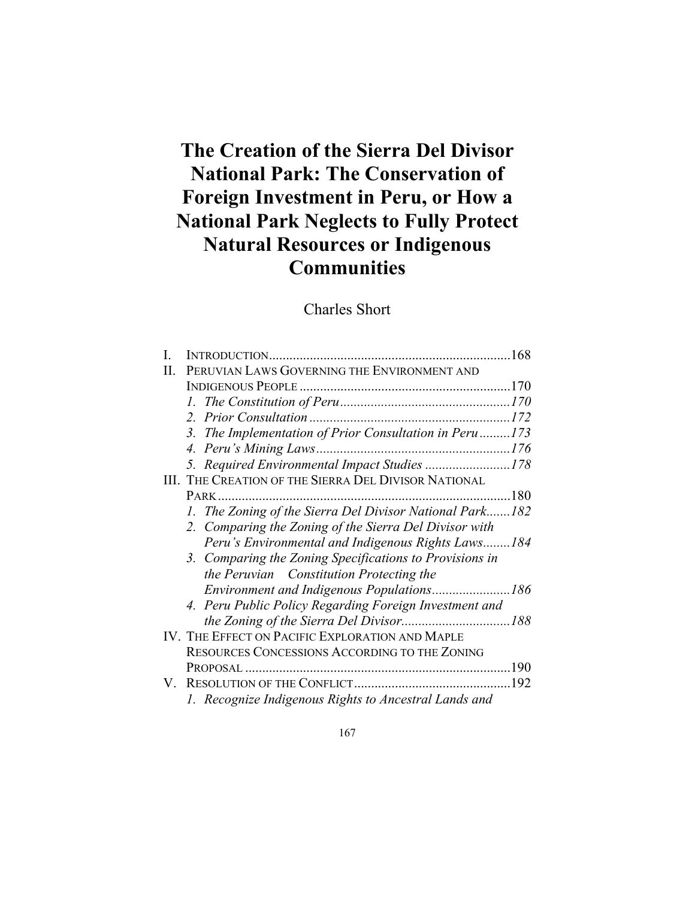# **The Creation of the Sierra Del Divisor National Park: The Conservation of Foreign Investment in Peru, or How a National Park Neglects to Fully Protect Natural Resources or Indigenous Communities**

## Charles Short

| L  | INTRODUCTION                                               | 168 |
|----|------------------------------------------------------------|-----|
| П. | PERUVIAN LAWS GOVERNING THE ENVIRONMENT AND                |     |
|    |                                                            |     |
|    |                                                            |     |
|    |                                                            |     |
|    | The Implementation of Prior Consultation in Peru 173<br>3. |     |
|    |                                                            |     |
|    |                                                            |     |
| Ш  | THE CREATION OF THE SIERRA DEL DIVISOR NATIONAL            |     |
|    | PARK                                                       | 180 |
|    | 1. The Zoning of the Sierra Del Divisor National Park182   |     |
|    | 2. Comparing the Zoning of the Sierra Del Divisor with     |     |
|    | Peru's Environmental and Indigenous Rights Laws184         |     |
|    | 3. Comparing the Zoning Specifications to Provisions in    |     |
|    | the Peruvian Constitution Protecting the                   |     |
|    |                                                            |     |
|    | 4. Peru Public Policy Regarding Foreign Investment and     |     |
|    |                                                            |     |
|    | IV. THE EFFECT ON PACIFIC EXPLORATION AND MAPLE            |     |
|    | RESOURCES CONCESSIONS ACCORDING TO THE ZONING              |     |
|    | PROPOSAL                                                   | 190 |
| V. |                                                            | 192 |
|    | 1. Recognize Indigenous Rights to Ancestral Lands and      |     |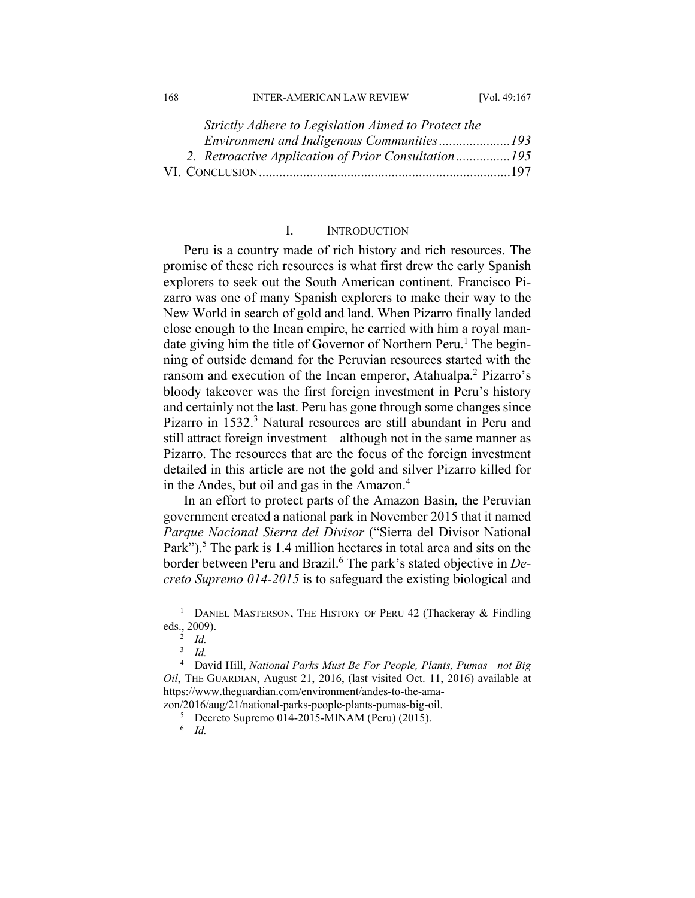| Strictly Adhere to Legislation Aimed to Protect the |  |
|-----------------------------------------------------|--|
| Environment and Indigenous Communities193           |  |
| 2. Retroactive Application of Prior Consultation195 |  |
|                                                     |  |

#### I. INTRODUCTION

Peru is a country made of rich history and rich resources. The promise of these rich resources is what first drew the early Spanish explorers to seek out the South American continent. Francisco Pizarro was one of many Spanish explorers to make their way to the New World in search of gold and land. When Pizarro finally landed close enough to the Incan empire, he carried with him a royal mandate giving him the title of Governor of Northern Peru.<sup>1</sup> The beginning of outside demand for the Peruvian resources started with the ransom and execution of the Incan emperor, Atahualpa.<sup>2</sup> Pizarro's bloody takeover was the first foreign investment in Peru's history and certainly not the last. Peru has gone through some changes since Pizarro in 1532.<sup>3</sup> Natural resources are still abundant in Peru and still attract foreign investment—although not in the same manner as Pizarro. The resources that are the focus of the foreign investment detailed in this article are not the gold and silver Pizarro killed for in the Andes, but oil and gas in the Amazon.<sup>4</sup>

In an effort to protect parts of the Amazon Basin, the Peruvian government created a national park in November 2015 that it named *Parque Nacional Sierra del Divisor* ("Sierra del Divisor National Park").<sup>5</sup> The park is 1.4 million hectares in total area and sits on the border between Peru and Brazil.6 The park's stated objective in *Decreto Supremo 014-2015* is to safeguard the existing biological and

 $\frac{1}{1}$ <sup>1</sup> DANIEL MASTERSON, THE HISTORY OF PERU 42 (Thackeray & Findling eds., 2009).

 $\lambda^2$  *Id.* 

<sup>3</sup>  *Id.*

<sup>4</sup> David Hill, *National Parks Must Be For People, Plants, Pumas—not Big Oil*, THE GUARDIAN, August 21, 2016, (last visited Oct. 11, 2016) available at https://www.theguardian.com/environment/andes-to-the-amazon/2016/aug/21/national-parks-people-plants-pumas-big-oil. 5

 $5$  Decreto Supremo 014-2015-MINAM (Peru) (2015).

<sup>6</sup>  *Id.*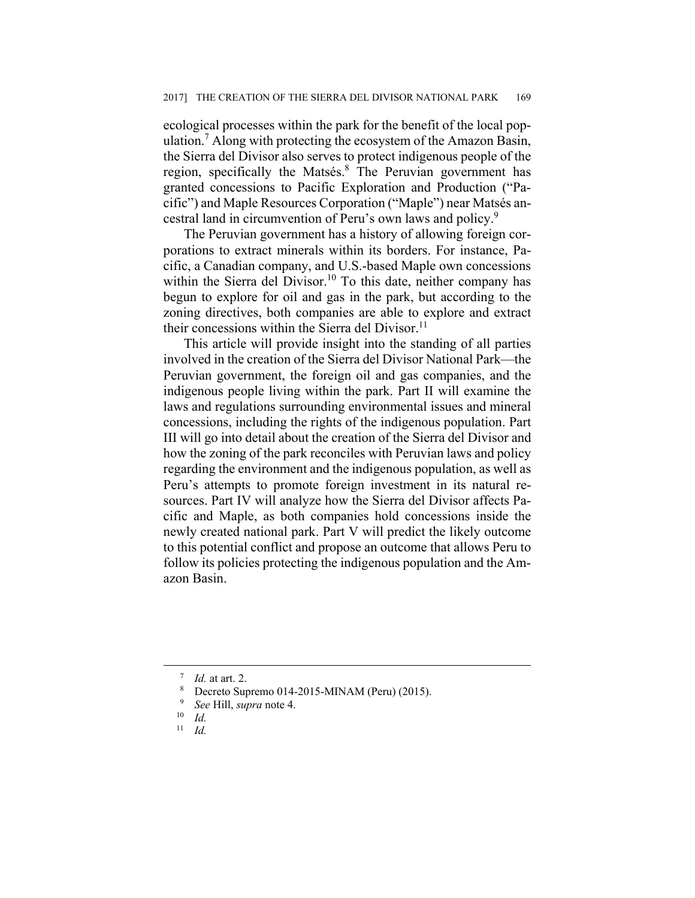ecological processes within the park for the benefit of the local population.7 Along with protecting the ecosystem of the Amazon Basin, the Sierra del Divisor also serves to protect indigenous people of the region, specifically the Matsés.<sup>8</sup> The Peruvian government has granted concessions to Pacific Exploration and Production ("Pacific") and Maple Resources Corporation ("Maple") near Matsés ancestral land in circumvention of Peru's own laws and policy.9

The Peruvian government has a history of allowing foreign corporations to extract minerals within its borders. For instance, Pacific, a Canadian company, and U.S.-based Maple own concessions within the Sierra del Divisor.<sup>10</sup> To this date, neither company has begun to explore for oil and gas in the park, but according to the zoning directives, both companies are able to explore and extract their concessions within the Sierra del Divisor.<sup>11</sup>

This article will provide insight into the standing of all parties involved in the creation of the Sierra del Divisor National Park—the Peruvian government, the foreign oil and gas companies, and the indigenous people living within the park. Part II will examine the laws and regulations surrounding environmental issues and mineral concessions, including the rights of the indigenous population. Part III will go into detail about the creation of the Sierra del Divisor and how the zoning of the park reconciles with Peruvian laws and policy regarding the environment and the indigenous population, as well as Peru's attempts to promote foreign investment in its natural resources. Part IV will analyze how the Sierra del Divisor affects Pacific and Maple, as both companies hold concessions inside the newly created national park. Part V will predict the likely outcome to this potential conflict and propose an outcome that allows Peru to follow its policies protecting the indigenous population and the Amazon Basin.

 $\overline{7}$  $^7$  *Id.* at art. 2.

Decreto Supremo 014-2015-MINAM (Peru) (2015).

<sup>9</sup>  *See* Hill, *supra* note 4. 10 *Id.*

<sup>11</sup> *Id.*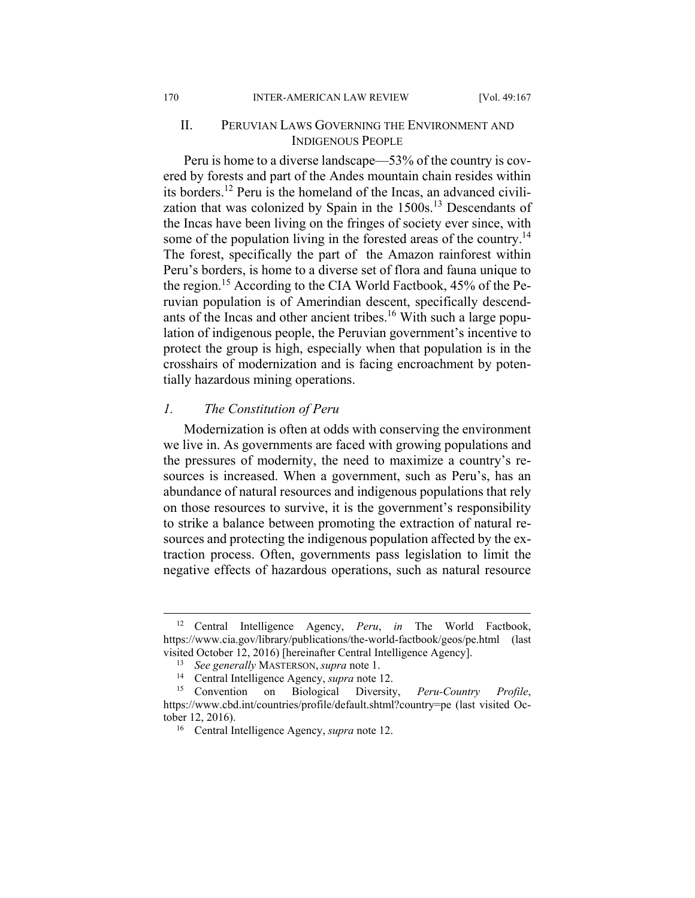## II. PERUVIAN LAWS GOVERNING THE ENVIRONMENT AND INDIGENOUS PEOPLE

Peru is home to a diverse landscape—53% of the country is covered by forests and part of the Andes mountain chain resides within its borders.12 Peru is the homeland of the Incas, an advanced civilization that was colonized by Spain in the 1500s.<sup>13</sup> Descendants of the Incas have been living on the fringes of society ever since, with some of the population living in the forested areas of the country.<sup>14</sup> The forest, specifically the part of the Amazon rainforest within Peru's borders, is home to a diverse set of flora and fauna unique to the region.15 According to the CIA World Factbook, 45% of the Peruvian population is of Amerindian descent, specifically descendants of the Incas and other ancient tribes.16 With such a large population of indigenous people, the Peruvian government's incentive to protect the group is high, especially when that population is in the crosshairs of modernization and is facing encroachment by potentially hazardous mining operations.

#### *1. The Constitution of Peru*

Modernization is often at odds with conserving the environment we live in. As governments are faced with growing populations and the pressures of modernity, the need to maximize a country's resources is increased. When a government, such as Peru's, has an abundance of natural resources and indigenous populations that rely on those resources to survive, it is the government's responsibility to strike a balance between promoting the extraction of natural resources and protecting the indigenous population affected by the extraction process. Often, governments pass legislation to limit the negative effects of hazardous operations, such as natural resource

 <sup>12</sup> Central Intelligence Agency, *Peru*, *in* The World Factbook, https://www.cia.gov/library/publications/the-world-factbook/geos/pe.html (last

visited October 12, 2016) [hereinafter Central Intelligence Agency].<br>
<sup>13</sup> See generally MASTERSON, supra note 1.<br>
<sup>14</sup> Central Intelligence Agency, supra note 12.<br>
<sup>15</sup> Convention on Biological Diversity, *Peru-Country Pr* https://www.cbd.int/countries/profile/default.shtml?country=pe (last visited October 12, 2016). 16 Central Intelligence Agency, *supra* note 12.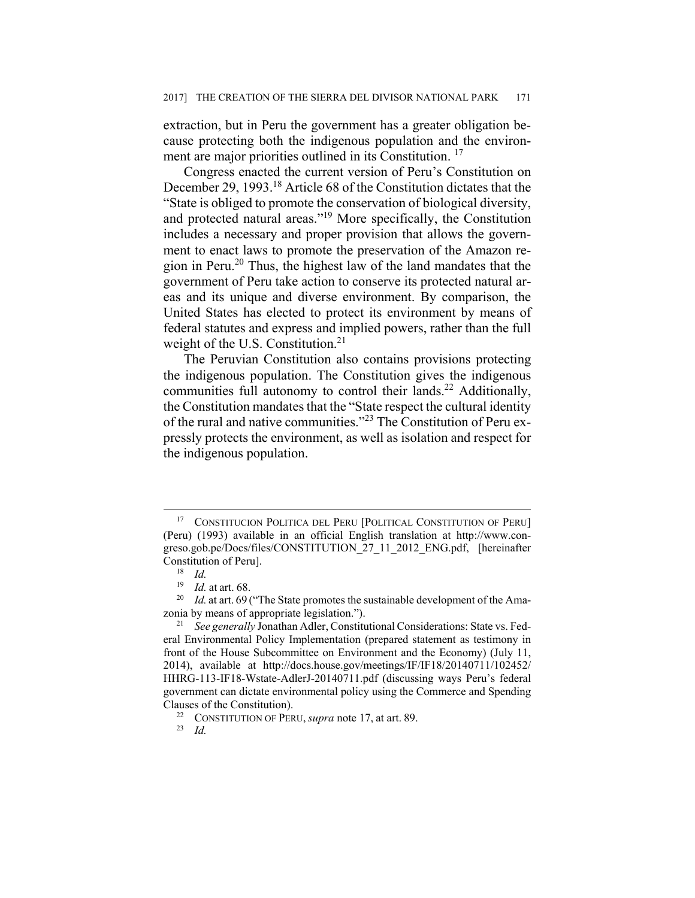extraction, but in Peru the government has a greater obligation because protecting both the indigenous population and the environment are major priorities outlined in its Constitution.<sup>17</sup>

Congress enacted the current version of Peru's Constitution on December 29, 1993.<sup>18</sup> Article 68 of the Constitution dictates that the "State is obliged to promote the conservation of biological diversity, and protected natural areas."19 More specifically, the Constitution includes a necessary and proper provision that allows the government to enact laws to promote the preservation of the Amazon region in Peru.20 Thus, the highest law of the land mandates that the government of Peru take action to conserve its protected natural areas and its unique and diverse environment. By comparison, the United States has elected to protect its environment by means of federal statutes and express and implied powers, rather than the full weight of the U.S. Constitution.<sup>21</sup>

The Peruvian Constitution also contains provisions protecting the indigenous population. The Constitution gives the indigenous communities full autonomy to control their lands.<sup>22</sup> Additionally, the Constitution mandates that the "State respect the cultural identity of the rural and native communities."23 The Constitution of Peru expressly protects the environment, as well as isolation and respect for the indigenous population.

<sup>&</sup>lt;sup>17</sup> CONSTITUCION POLITICA DEL PERU [POLITICAL CONSTITUTION OF PERU] (Peru) (1993) available in an official English translation at http://www.congreso.gob.pe/Docs/files/CONSTITUTION\_27\_11\_2012\_ENG.pdf, [hereinafter Constitution of Peru].<br><sup>18</sup> *Id.*<br><sup>19</sup> *Id.* at art. 68

<sup>&</sup>lt;sup>19</sup> *Id.* at art. 68.<br><sup>20</sup> *Id.* at art. 69 ("The State promotes the sustainable development of the Amazonia by means of appropriate legislation."). 21 *See generally* Jonathan Adler, Constitutional Considerations: State vs. Fed-

eral Environmental Policy Implementation (prepared statement as testimony in front of the House Subcommittee on Environment and the Economy) (July 11, 2014), available at http://docs.house.gov/meetings/IF/IF18/20140711/102452/ HHRG-113-IF18-Wstate-AdlerJ-20140711.pdf (discussing ways Peru's federal government can dictate environmental policy using the Commerce and Spending Clauses of the Constitution). 22 CONSTITUTION OF PERU, *supra* note 17, at art. 89. 23 *Id.*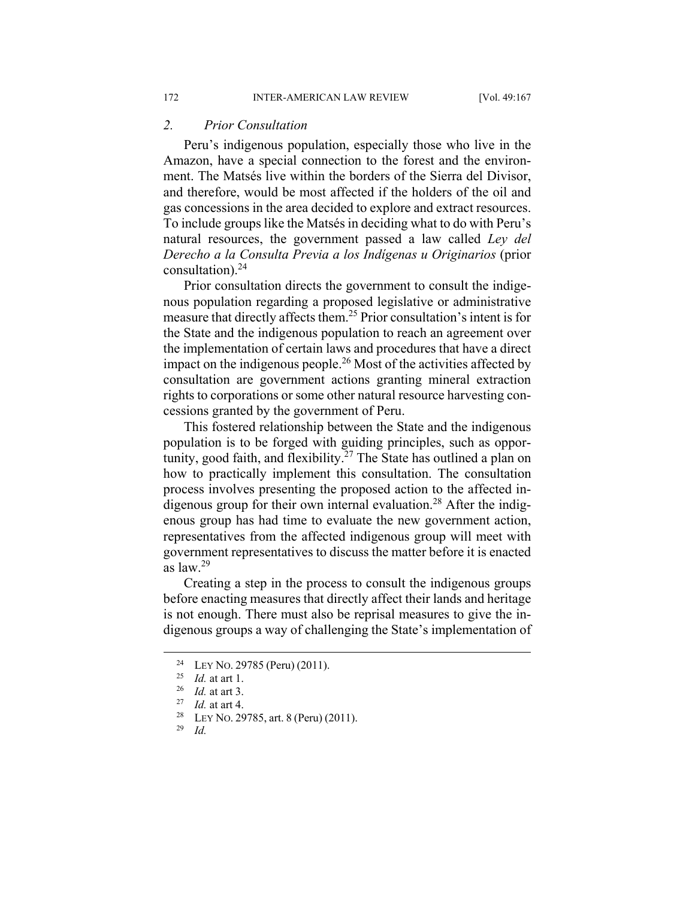#### *2. Prior Consultation*

Peru's indigenous population, especially those who live in the Amazon, have a special connection to the forest and the environment. The Matsés live within the borders of the Sierra del Divisor, and therefore, would be most affected if the holders of the oil and gas concessions in the area decided to explore and extract resources. To include groups like the Matsés in deciding what to do with Peru's natural resources, the government passed a law called *Ley del Derecho a la Consulta Previa a los Indígenas u Originarios* (prior consultation). $^{24}$ 

Prior consultation directs the government to consult the indigenous population regarding a proposed legislative or administrative measure that directly affects them.25 Prior consultation's intent is for the State and the indigenous population to reach an agreement over the implementation of certain laws and procedures that have a direct impact on the indigenous people.<sup>26</sup> Most of the activities affected by consultation are government actions granting mineral extraction rights to corporations or some other natural resource harvesting concessions granted by the government of Peru.

This fostered relationship between the State and the indigenous population is to be forged with guiding principles, such as opportunity, good faith, and flexibility.<sup>27</sup> The State has outlined a plan on how to practically implement this consultation. The consultation process involves presenting the proposed action to the affected indigenous group for their own internal evaluation.<sup>28</sup> After the indigenous group has had time to evaluate the new government action, representatives from the affected indigenous group will meet with government representatives to discuss the matter before it is enacted as law.29

Creating a step in the process to consult the indigenous groups before enacting measures that directly affect their lands and heritage is not enough. There must also be reprisal measures to give the indigenous groups a way of challenging the State's implementation of

<sup>&</sup>lt;sup>24</sup> LEY NO. 29785 (Peru) (2011).<br>
<sup>25</sup> *Id.* at art 1.<br>
<sup>26</sup> *Id.* at art 3.<br>
<sup>27</sup> *Id.* at art 4.<br>
<sup>28</sup> LEY NO. 29785, art. 8 (Peru) (2011).<br> *Id*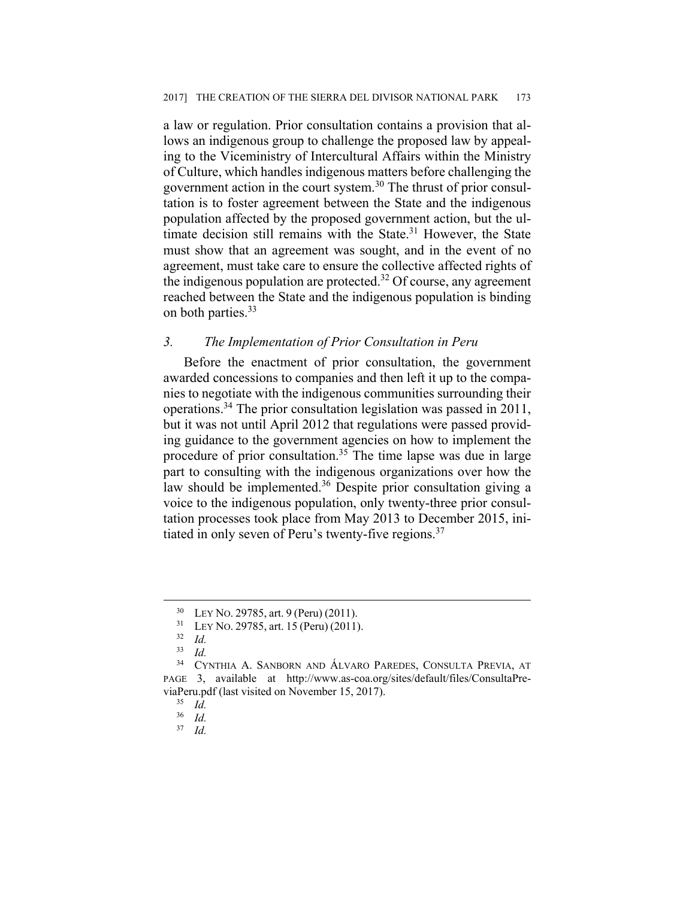a law or regulation. Prior consultation contains a provision that allows an indigenous group to challenge the proposed law by appealing to the Viceministry of Intercultural Affairs within the Ministry of Culture, which handles indigenous matters before challenging the government action in the court system.<sup>30</sup> The thrust of prior consultation is to foster agreement between the State and the indigenous population affected by the proposed government action, but the ultimate decision still remains with the State.<sup>31</sup> However, the State must show that an agreement was sought, and in the event of no agreement, must take care to ensure the collective affected rights of the indigenous population are protected.32 Of course, any agreement reached between the State and the indigenous population is binding on both parties.<sup>33</sup>

#### *3. The Implementation of Prior Consultation in Peru*

Before the enactment of prior consultation, the government awarded concessions to companies and then left it up to the companies to negotiate with the indigenous communities surrounding their operations.34 The prior consultation legislation was passed in 2011, but it was not until April 2012 that regulations were passed providing guidance to the government agencies on how to implement the procedure of prior consultation.35 The time lapse was due in large part to consulting with the indigenous organizations over how the law should be implemented.<sup>36</sup> Despite prior consultation giving a voice to the indigenous population, only twenty-three prior consultation processes took place from May 2013 to December 2015, initiated in only seven of Peru's twenty-five regions.<sup>37</sup>

 <sup>30</sup> LEY NO. 29785, art. <sup>9</sup> (Peru) (2011). 31 LEY NO. 29785, art. <sup>15</sup> (Peru) (2011). 32 *Id.*

 $rac{33}{34}$  *Id.* 

<sup>34</sup> CYNTHIA A. SANBORN AND ÁLVARO PAREDES, CONSULTA PREVIA, AT PAGE 3, available at http://www.as-coa.org/sites/default/files/ConsultaPreviaPeru.pdf (last visited on November 15, 2017). 35 *Id.*

 $rac{36}{37}$  *Id.* 

<sup>37</sup> *Id.*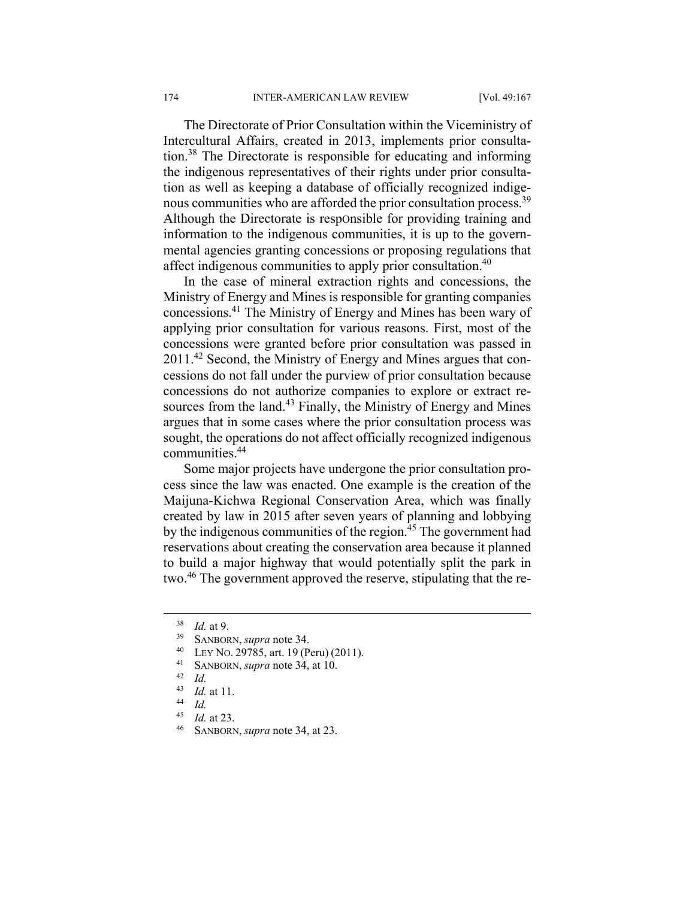The Directorate of Prior Consultation within the Viceministry of Intercultural Affairs, created in 2013, implements prior consultation.38 The Directorate is responsible for educating and informing the indigenous representatives of their rights under prior consultation as well as keeping a database of officially recognized indigenous communities who are afforded the prior consultation process.<sup>39</sup> Although the Directorate is respOnsible for providing training and information to the indigenous communities, it is up to the governmental agencies granting concessions or proposing regulations that affect indigenous communities to apply prior consultation.<sup>40</sup>

In the case of mineral extraction rights and concessions, the Ministry of Energy and Mines is responsible for granting companies concessions.41 The Ministry of Energy and Mines has been wary of applying prior consultation for various reasons. First, most of the concessions were granted before prior consultation was passed in 2011.42 Second, the Ministry of Energy and Mines argues that concessions do not fall under the purview of prior consultation because concessions do not authorize companies to explore or extract resources from the land.<sup>43</sup> Finally, the Ministry of Energy and Mines argues that in some cases where the prior consultation process was sought, the operations do not affect officially recognized indigenous communities.44

Some major projects have undergone the prior consultation process since the law was enacted. One example is the creation of the Maijuna-Kichwa Regional Conservation Area, which was finally created by law in 2015 after seven years of planning and lobbying by the indigenous communities of the region.<sup> $45$ </sup> The government had reservations about creating the conservation area because it planned to build a major highway that would potentially split the park in two.<sup>46</sup> The government approved the reserve, stipulating that the re-

<sup>38</sup> *Id.* at 9.<br><sup>39</sup> SANBORN, *supra* note 34.<br><sup>40</sup> LEY NO. 29785, art. 19 (Peru) (2011).<br><sup>41</sup> SANBORN, *supra* note 34, at 10.<br><sup>42</sup> *Id.*<br><sup>43</sup> *Id.* at 11.

<sup>43</sup> *Id.* at 11. 44 *Id.*

<sup>45</sup> *Id.* at 23. 46 SANBORN, *supra* note 34, at 23.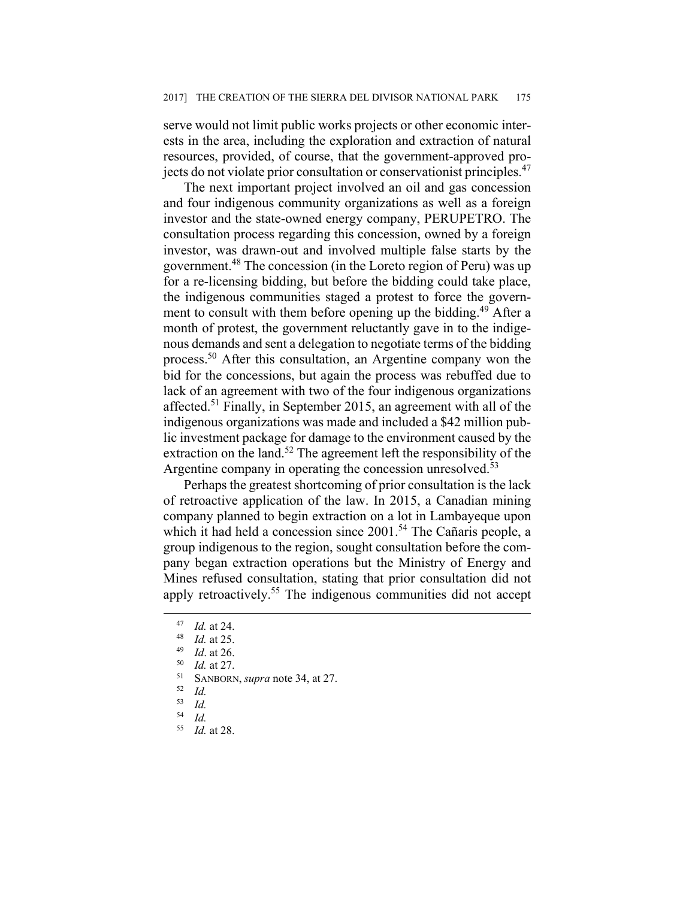serve would not limit public works projects or other economic interests in the area, including the exploration and extraction of natural resources, provided, of course, that the government-approved projects do not violate prior consultation or conservationist principles.<sup>47</sup>

The next important project involved an oil and gas concession and four indigenous community organizations as well as a foreign investor and the state-owned energy company, PERUPETRO. The consultation process regarding this concession, owned by a foreign investor, was drawn-out and involved multiple false starts by the government.<sup>48</sup> The concession (in the Loreto region of Peru) was up for a re-licensing bidding, but before the bidding could take place, the indigenous communities staged a protest to force the government to consult with them before opening up the bidding.<sup>49</sup> After a month of protest, the government reluctantly gave in to the indigenous demands and sent a delegation to negotiate terms of the bidding process.50 After this consultation, an Argentine company won the bid for the concessions, but again the process was rebuffed due to lack of an agreement with two of the four indigenous organizations affected.51 Finally, in September 2015, an agreement with all of the indigenous organizations was made and included a \$42 million public investment package for damage to the environment caused by the extraction on the land.<sup>52</sup> The agreement left the responsibility of the Argentine company in operating the concession unresolved.<sup>53</sup>

Perhaps the greatest shortcoming of prior consultation is the lack of retroactive application of the law. In 2015, a Canadian mining company planned to begin extraction on a lot in Lambayeque upon which it had held a concession since 2001.<sup>54</sup> The Cañaris people, a group indigenous to the region, sought consultation before the company began extraction operations but the Ministry of Energy and Mines refused consultation, stating that prior consultation did not apply retroactively.55 The indigenous communities did not accept

<sup>47</sup> *Id.* at 24. 48 *Id.* at 25. 49 *Id*. at 26. 50 *Id.* at 27. 51 SANBORN, *supra* note 34, at 27. 52 *Id.*

 $\frac{53}{54}$  *Id.* 

 $\begin{array}{cc} 54 & Id. \\ 55 & Id. \end{array}$ 

*Id.* at 28.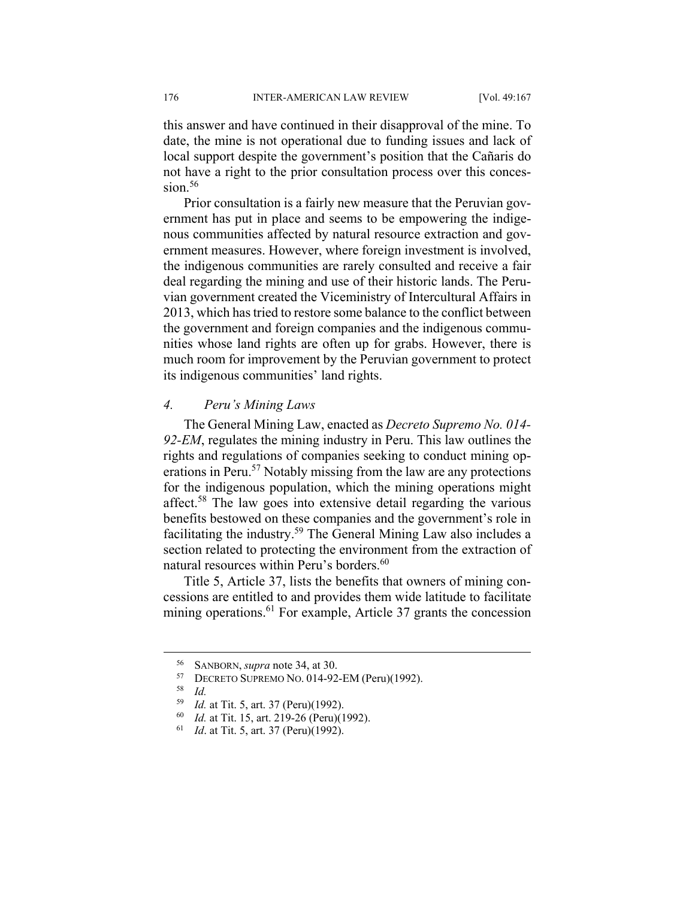this answer and have continued in their disapproval of the mine. To date, the mine is not operational due to funding issues and lack of local support despite the government's position that the Cañaris do not have a right to the prior consultation process over this concession.<sup>56</sup>

Prior consultation is a fairly new measure that the Peruvian government has put in place and seems to be empowering the indigenous communities affected by natural resource extraction and government measures. However, where foreign investment is involved, the indigenous communities are rarely consulted and receive a fair deal regarding the mining and use of their historic lands. The Peruvian government created the Viceministry of Intercultural Affairs in 2013, which has tried to restore some balance to the conflict between the government and foreign companies and the indigenous communities whose land rights are often up for grabs. However, there is much room for improvement by the Peruvian government to protect its indigenous communities' land rights.

#### *4. Peru's Mining Laws*

The General Mining Law, enacted as *Decreto Supremo No. 014- 92-EM*, regulates the mining industry in Peru. This law outlines the rights and regulations of companies seeking to conduct mining operations in Peru.<sup>57</sup> Notably missing from the law are any protections for the indigenous population, which the mining operations might affect.58 The law goes into extensive detail regarding the various benefits bestowed on these companies and the government's role in facilitating the industry.59 The General Mining Law also includes a section related to protecting the environment from the extraction of natural resources within Peru's borders.<sup>60</sup>

Title 5, Article 37, lists the benefits that owners of mining concessions are entitled to and provides them wide latitude to facilitate mining operations.<sup>61</sup> For example, Article 37 grants the concession

59 *Id.* at Tit. 5, art. 37 (Peru)(1992).<br><sup>60</sup> *Id.* at Tit. 15, art. 219-26 (Peru)(1992).<br><sup>61</sup> *Id.* at Tit. 5, art. 37 (Peru)(1992).

<sup>56</sup> SANBORN, *supra* note 34, at 30.<br>
<sup>57</sup> DECRETO SUPREMO NO. 014-92-EM (Peru)(1992).<br> *Id.*  $I_d$  at Tit. 5 art. 27 (Peru)(1992).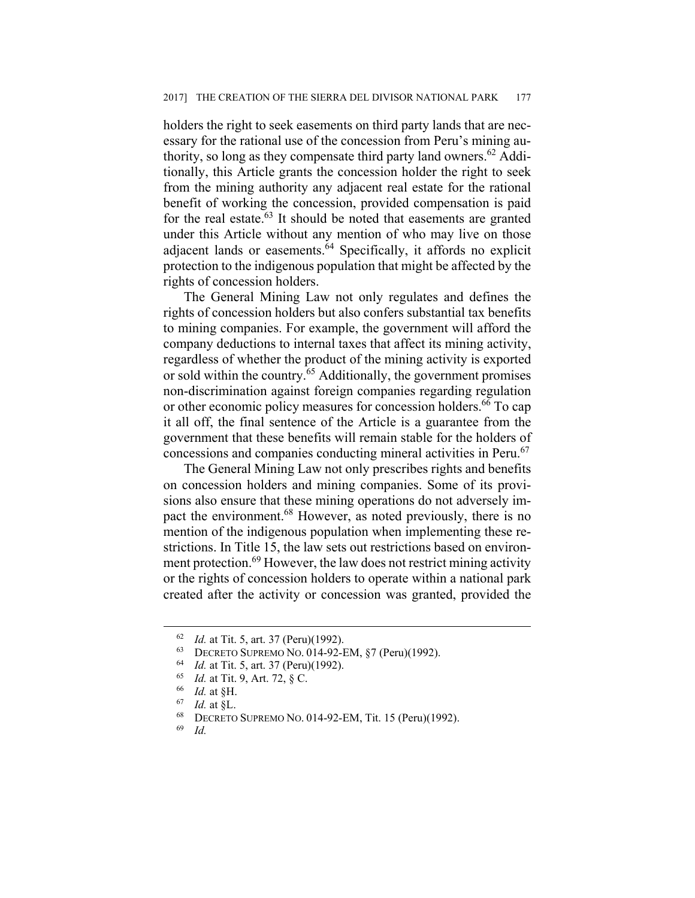holders the right to seek easements on third party lands that are necessary for the rational use of the concession from Peru's mining authority, so long as they compensate third party land owners.<sup>62</sup> Additionally, this Article grants the concession holder the right to seek from the mining authority any adjacent real estate for the rational benefit of working the concession, provided compensation is paid for the real estate. $63$  It should be noted that easements are granted under this Article without any mention of who may live on those adjacent lands or easements.<sup>64</sup> Specifically, it affords no explicit protection to the indigenous population that might be affected by the rights of concession holders.

The General Mining Law not only regulates and defines the rights of concession holders but also confers substantial tax benefits to mining companies. For example, the government will afford the company deductions to internal taxes that affect its mining activity, regardless of whether the product of the mining activity is exported or sold within the country.65 Additionally, the government promises non-discrimination against foreign companies regarding regulation or other economic policy measures for concession holders. $66$  To cap it all off, the final sentence of the Article is a guarantee from the government that these benefits will remain stable for the holders of concessions and companies conducting mineral activities in Peru.<sup>67</sup>

The General Mining Law not only prescribes rights and benefits on concession holders and mining companies. Some of its provisions also ensure that these mining operations do not adversely impact the environment.<sup>68</sup> However, as noted previously, there is no mention of the indigenous population when implementing these restrictions. In Title 15, the law sets out restrictions based on environment protection.<sup>69</sup> However, the law does not restrict mining activity or the rights of concession holders to operate within a national park created after the activity or concession was granted, provided the

<sup>&</sup>lt;sup>62</sup> *Id.* at Tit. 5, art. 37 (Peru)(1992).<br>
<sup>63</sup> DECRETO SUPREMO NO. 014-92-EM, §7 (Peru)(1992).<br>
<sup>64</sup> *Id.* at Tit. 5, art. 37 (Peru)(1992).<br>
<sup>65</sup> *Id.* at Tit. 9, Art. 72, § C.<br>
<sup>66</sup> *Id.* at §H.<br>
<sup>67</sup> *Id.* at §L.<br> **6**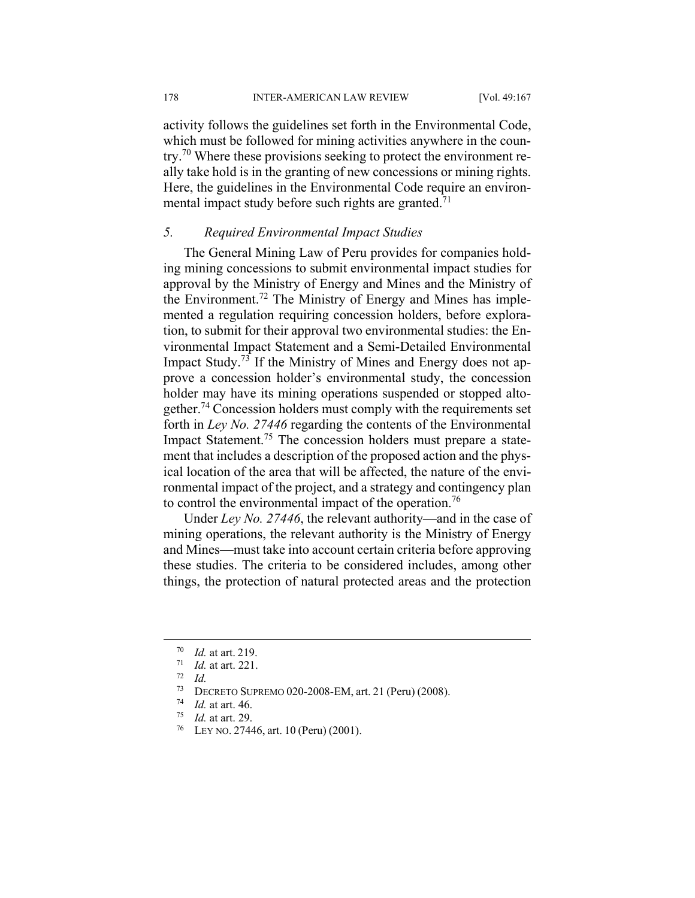178 INTER-AMERICAN LAW REVIEW [Vol. 49:167

activity follows the guidelines set forth in the Environmental Code, which must be followed for mining activities anywhere in the country.70 Where these provisions seeking to protect the environment really take hold is in the granting of new concessions or mining rights. Here, the guidelines in the Environmental Code require an environmental impact study before such rights are granted.<sup>71</sup>

## *5. Required Environmental Impact Studies*

The General Mining Law of Peru provides for companies holding mining concessions to submit environmental impact studies for approval by the Ministry of Energy and Mines and the Ministry of the Environment.72 The Ministry of Energy and Mines has implemented a regulation requiring concession holders, before exploration, to submit for their approval two environmental studies: the Environmental Impact Statement and a Semi-Detailed Environmental Impact Study.<sup>73</sup> If the Ministry of Mines and Energy does not approve a concession holder's environmental study, the concession holder may have its mining operations suspended or stopped altogether.<sup>74</sup> Concession holders must comply with the requirements set forth in *Ley No. 27446* regarding the contents of the Environmental Impact Statement.<sup>75</sup> The concession holders must prepare a statement that includes a description of the proposed action and the physical location of the area that will be affected, the nature of the environmental impact of the project, and a strategy and contingency plan to control the environmental impact of the operation.<sup>76</sup>

Under *Ley No. 27446*, the relevant authority—and in the case of mining operations, the relevant authority is the Ministry of Energy and Mines—must take into account certain criteria before approving these studies. The criteria to be considered includes, among other things, the protection of natural protected areas and the protection

<sup>70</sup> *Id.* at art. 219. 71 *Id.* at art. 221. 72 *Id.* 

<sup>73</sup> DECRETO SUPREMO 020-2008-EM, art. <sup>21</sup> (Peru) (2008). 74 *Id.* at art. 46. 75 *Id.* at art. 29. 76 LEY NO. 27446, art. <sup>10</sup> (Peru) (2001).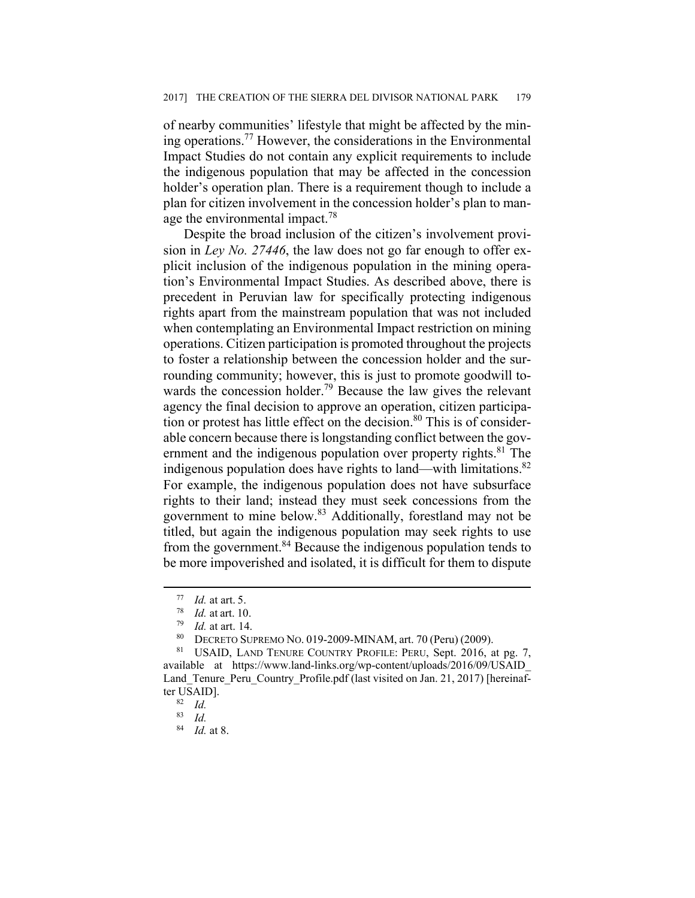of nearby communities' lifestyle that might be affected by the mining operations.77 However, the considerations in the Environmental Impact Studies do not contain any explicit requirements to include the indigenous population that may be affected in the concession holder's operation plan. There is a requirement though to include a plan for citizen involvement in the concession holder's plan to manage the environmental impact.<sup>78</sup>

Despite the broad inclusion of the citizen's involvement provision in *Ley No. 27446*, the law does not go far enough to offer explicit inclusion of the indigenous population in the mining operation's Environmental Impact Studies. As described above, there is precedent in Peruvian law for specifically protecting indigenous rights apart from the mainstream population that was not included when contemplating an Environmental Impact restriction on mining operations. Citizen participation is promoted throughout the projects to foster a relationship between the concession holder and the surrounding community; however, this is just to promote goodwill towards the concession holder.<sup>79</sup> Because the law gives the relevant agency the final decision to approve an operation, citizen participation or protest has little effect on the decision. $80$  This is of considerable concern because there is longstanding conflict between the government and the indigenous population over property rights.<sup>81</sup> The indigenous population does have rights to land—with limitations. $82$ For example, the indigenous population does not have subsurface rights to their land; instead they must seek concessions from the government to mine below.83 Additionally, forestland may not be titled, but again the indigenous population may seek rights to use from the government.<sup>84</sup> Because the indigenous population tends to be more impoverished and isolated, it is difficult for them to dispute

<sup>&</sup>lt;sup>77</sup> *Id.* at art. 5.<br><sup>78</sup> *Id.* at art. 10.<br><sup>79</sup> *Id.* at art. 14.<br><sup>80</sup> DECRETO SUPREMO NO. 019-2009-MINAM, art. 70 (Peru) (2009).<br><sup>81</sup> USAID, LAND TENURE COUNTRY PROFILE: PERU, Sept. 2016, at pg. 7, available at https://www.land-links.org/wp-content/uploads/2016/09/USAID\_ Land Tenure Peru Country Profile.pdf (last visited on Jan. 21, 2017) [hereinafter USAID].<br><sup>82</sup> *Id.* 

 $\begin{array}{cc} 83 & Id. \\ 84 & Id. \end{array}$ 

*Id.* at 8.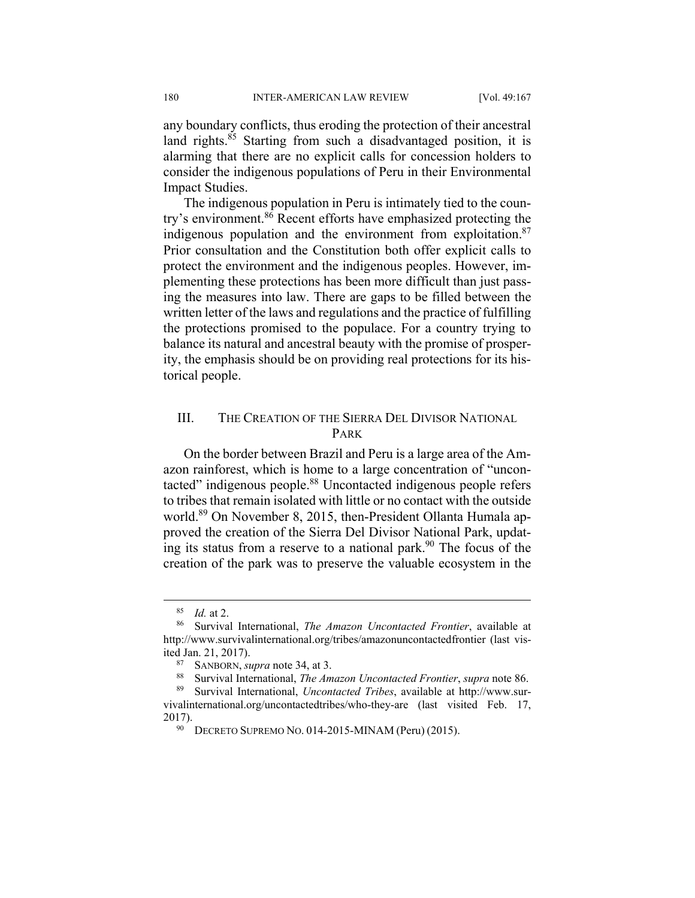any boundary conflicts, thus eroding the protection of their ancestral land rights. $85$  Starting from such a disadvantaged position, it is alarming that there are no explicit calls for concession holders to consider the indigenous populations of Peru in their Environmental Impact Studies.

The indigenous population in Peru is intimately tied to the country's environment.<sup>86</sup> Recent efforts have emphasized protecting the indigenous population and the environment from exploitation. $87$ Prior consultation and the Constitution both offer explicit calls to protect the environment and the indigenous peoples. However, implementing these protections has been more difficult than just passing the measures into law. There are gaps to be filled between the written letter of the laws and regulations and the practice of fulfilling the protections promised to the populace. For a country trying to balance its natural and ancestral beauty with the promise of prosperity, the emphasis should be on providing real protections for its historical people.

## III. THE CREATION OF THE SIERRA DEL DIVISOR NATIONAL PARK

On the border between Brazil and Peru is a large area of the Amazon rainforest, which is home to a large concentration of "uncontacted" indigenous people.<sup>88</sup> Uncontacted indigenous people refers to tribes that remain isolated with little or no contact with the outside world.<sup>89</sup> On November 8, 2015, then-President Ollanta Humala approved the creation of the Sierra Del Divisor National Park, updating its status from a reserve to a national park.<sup>90</sup> The focus of the creation of the park was to preserve the valuable ecosystem in the

<sup>85</sup> *Id.* at 2. 86 Survival International, *The Amazon Uncontacted Frontier*, available at http://www.survivalinternational.org/tribes/amazonuncontactedfrontier (last visited Jan. 21, 2017).<br><sup>87</sup> SANBORN, *supra* note 34, at 3.<br><sup>88</sup> Survival International, *The Amazon Uncontacted Frontier*, *supra* note 86.<br><sup>89</sup> Survival International, *Uncontacted Tribes*, available at http://www.sur-

vivalinternational.org/uncontactedtribes/who-they-are (last visited Feb. 17, 2017). 90 DECRETO SUPREMO NO. 014-2015-MINAM (Peru) (2015).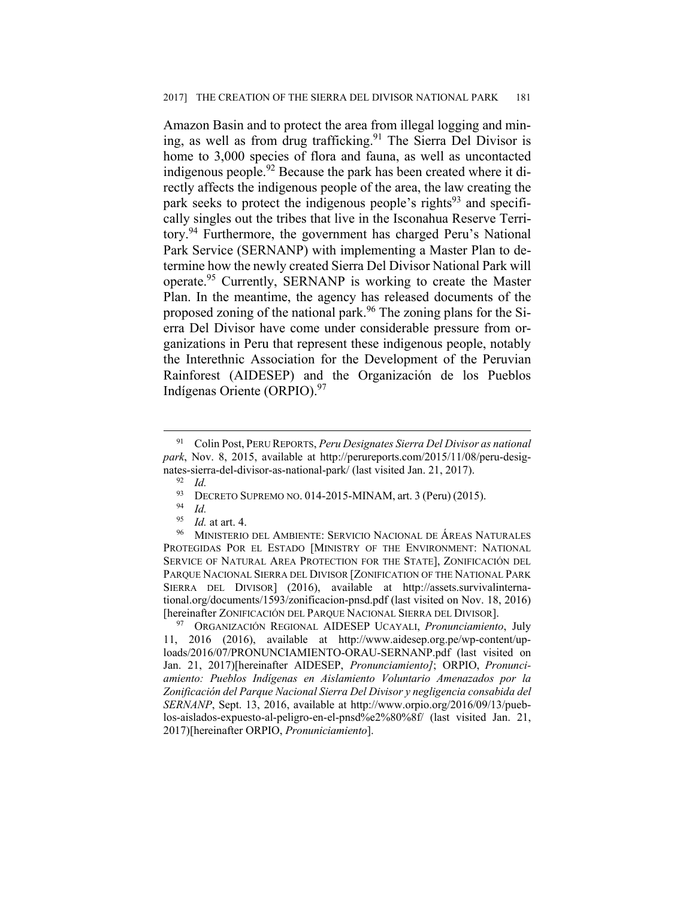Amazon Basin and to protect the area from illegal logging and mining, as well as from drug trafficking.<sup>91</sup> The Sierra Del Divisor is home to 3,000 species of flora and fauna, as well as uncontacted indigenous people.92 Because the park has been created where it directly affects the indigenous people of the area, the law creating the park seeks to protect the indigenous people's rights<sup>93</sup> and specifically singles out the tribes that live in the Isconahua Reserve Territory.<sup>94</sup> Furthermore, the government has charged Peru's National Park Service (SERNANP) with implementing a Master Plan to determine how the newly created Sierra Del Divisor National Park will operate.95 Currently, SERNANP is working to create the Master Plan. In the meantime, the agency has released documents of the proposed zoning of the national park.<sup>96</sup> The zoning plans for the Sierra Del Divisor have come under considerable pressure from organizations in Peru that represent these indigenous people, notably the Interethnic Association for the Development of the Peruvian Rainforest (AIDESEP) and the Organización de los Pueblos Indígenas Oriente (ORPIO).97

 <sup>91</sup> Colin Post, PERU REPORTS, *Peru Designates Sierra Del Divisor as national park*, Nov. 8, 2015, available at http://perureports.com/2015/11/08/peru-designates-sierra-del-divisor-as-national-park/ (last visited Jan. 21, 2017).<br><sup>92</sup> Id.<br><sup>93</sup> DECRETO SUPREMO NO 014-2015-MINAM art. 3 (Peru) (201

<sup>93</sup> DECRETO SUPREMO NO. 014-2015-MINAM, art. <sup>3</sup> (Peru) (2015). 94 *Id.*

<sup>&</sup>lt;sup>95</sup> Id. at art. 4.<br><sup>96</sup> MINISTERIO DEL AMBIENTE: SERVICIO NACIONAL DE ÁREAS NATURALES PROTEGIDAS POR EL ESTADO [MINISTRY OF THE ENVIRONMENT: NATIONAL SERVICE OF NATURAL AREA PROTECTION FOR THE STATE], ZONIFICACIÓN DEL PARQUE NACIONAL SIERRA DEL DIVISOR [ZONIFICATION OF THE NATIONAL PARK SIERRA DEL DIVISOR] (2016), available at http://assets.survivalinternational.org/documents/1593/zonificacion-pnsd.pdf (last visited on Nov. 18, 2016) [hereinafter ZONIFICACIÓN DEL PARQUE NACIONAL SIERRA DEL DIVISOR]. 97 ORGANIZACIÓN REGIONAL AIDESEP UCAYALI, *Pronunciamiento*, July

<sup>11, 2016 (2016),</sup> available at http://www.aidesep.org.pe/wp-content/uploads/2016/07/PRONUNCIAMIENTO-ORAU-SERNANP.pdf (last visited on Jan. 21, 2017)[hereinafter AIDESEP, *Pronunciamiento]*; ORPIO, *Pronunciamiento: Pueblos Indígenas en Aislamiento Voluntario Amenazados por la Zonificación del Parque Nacional Sierra Del Divisor y negligencia consabida del SERNANP*, Sept. 13, 2016, available at http://www.orpio.org/2016/09/13/pueblos-aislados-expuesto-al-peligro-en-el-pnsd%e2%80%8f/ (last visited Jan. 21, 2017)[hereinafter ORPIO, *Pronuniciamiento*].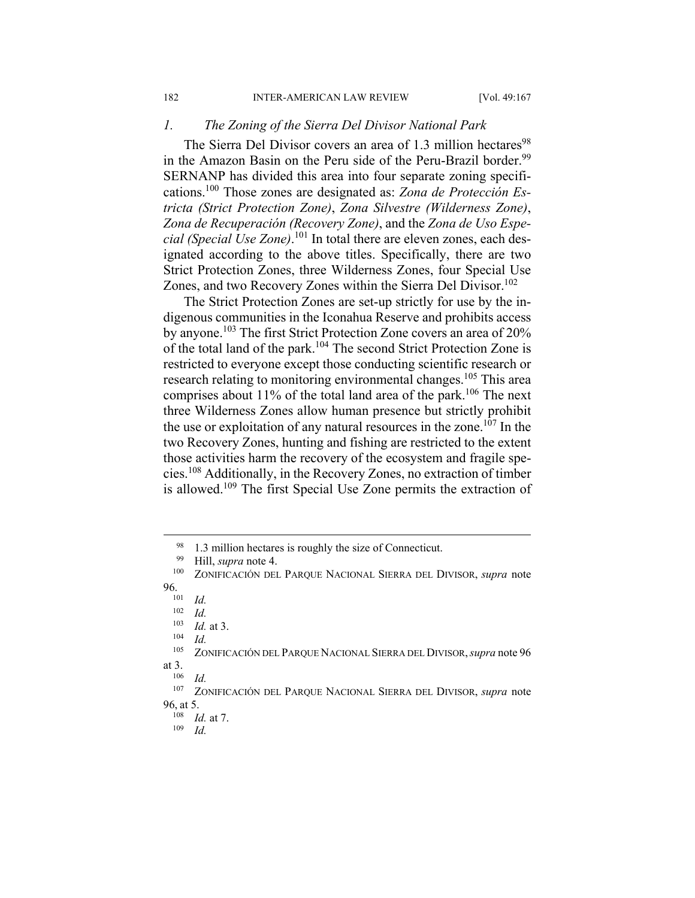#### *1. The Zoning of the Sierra Del Divisor National Park*

The Sierra Del Divisor covers an area of 1.3 million hectares<sup>98</sup> in the Amazon Basin on the Peru side of the Peru-Brazil border.<sup>99</sup> SERNANP has divided this area into four separate zoning specifications.100 Those zones are designated as: *Zona de Protección Estricta (Strict Protection Zone)*, *Zona Silvestre (Wilderness Zone)*, *Zona de Recuperación (Recovery Zone)*, and the *Zona de Uso Especial (Special Use Zone)*. 101 In total there are eleven zones, each designated according to the above titles. Specifically, there are two Strict Protection Zones, three Wilderness Zones, four Special Use Zones, and two Recovery Zones within the Sierra Del Divisor.<sup>102</sup>

The Strict Protection Zones are set-up strictly for use by the indigenous communities in the Iconahua Reserve and prohibits access by anyone.<sup>103</sup> The first Strict Protection Zone covers an area of 20% of the total land of the park.104 The second Strict Protection Zone is restricted to everyone except those conducting scientific research or research relating to monitoring environmental changes.<sup>105</sup> This area comprises about  $11\%$  of the total land area of the park.<sup>106</sup> The next three Wilderness Zones allow human presence but strictly prohibit the use or exploitation of any natural resources in the zone.<sup>107</sup> In the two Recovery Zones, hunting and fishing are restricted to the extent those activities harm the recovery of the ecosystem and fragile species.108 Additionally, in the Recovery Zones, no extraction of timber is allowed.109 The first Special Use Zone permits the extraction of

 $\frac{102}{103}$  *Id.* 

<sup>103</sup> *Id.* at 3. 104 *Id.*

<sup>&</sup>lt;sup>98</sup> 1.3 million hectares is roughly the size of Connecticut.<br><sup>99</sup> Hill *supper* pote 4

<sup>99</sup> Hill, *supra* note 4. 100 ZONIFICACIÓN DEL PARQUE NACIONAL SIERRA DEL DIVISOR, *supra* note 96.<br><sup>101</sup> *Id.*<br><sup>102</sup> *Id.* 

<sup>105</sup> ZONIFICACIÓN DEL PARQUE NACIONAL SIERRA DEL DIVISOR,*supra* note 96 at 3.<br> $\frac{106}{107}$  *Id.* 

ZONIFICACIÓN DEL PARQUE NACIONAL SIERRA DEL DIVISOR, *supra* note 96, at 5.

<sup>108</sup> *Id.* at 7. 109 *Id.*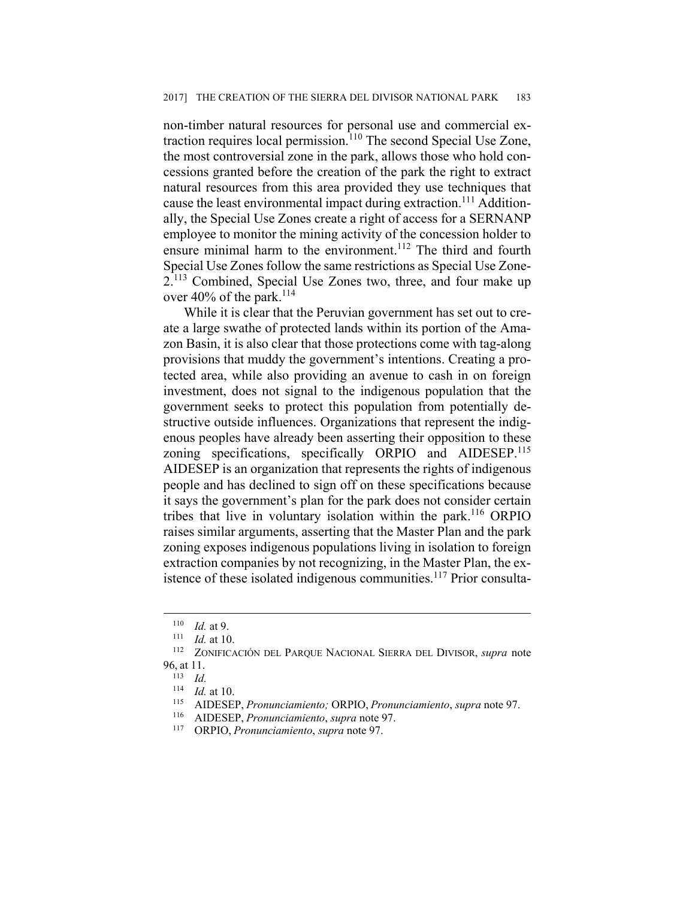non-timber natural resources for personal use and commercial extraction requires local permission.<sup>110</sup> The second Special Use Zone, the most controversial zone in the park, allows those who hold concessions granted before the creation of the park the right to extract natural resources from this area provided they use techniques that cause the least environmental impact during extraction.<sup>111</sup> Additionally, the Special Use Zones create a right of access for a SERNANP employee to monitor the mining activity of the concession holder to ensure minimal harm to the environment.<sup>112</sup> The third and fourth Special Use Zones follow the same restrictions as Special Use Zone-2.113 Combined, Special Use Zones two, three, and four make up over 40% of the park.<sup>114</sup>

While it is clear that the Peruvian government has set out to create a large swathe of protected lands within its portion of the Amazon Basin, it is also clear that those protections come with tag-along provisions that muddy the government's intentions. Creating a protected area, while also providing an avenue to cash in on foreign investment, does not signal to the indigenous population that the government seeks to protect this population from potentially destructive outside influences. Organizations that represent the indigenous peoples have already been asserting their opposition to these zoning specifications, specifically ORPIO and AIDESEP.<sup>115</sup> AIDESEP is an organization that represents the rights of indigenous people and has declined to sign off on these specifications because it says the government's plan for the park does not consider certain tribes that live in voluntary isolation within the park.<sup>116</sup> ORPIO raises similar arguments, asserting that the Master Plan and the park zoning exposes indigenous populations living in isolation to foreign extraction companies by not recognizing, in the Master Plan, the existence of these isolated indigenous communities.<sup>117</sup> Prior consulta-

1

<sup>110</sup> *Id.* at 9. 111 *Id.* at 10. 112 ZONIFICACIÓN DEL PARQUE NACIONAL SIERRA DEL DIVISOR, *supra* note 96, at 11.

 $\frac{113}{114}$  *Id.* 

<sup>&</sup>lt;sup>114</sup> *Id.* at 10.<br>
<sup>115</sup> AIDESEP, *Pronunciamiento*; ORPIO, *Pronunciamiento*, *supra* note 97.<br>
<sup>116</sup> AIDESEP, *Pronunciamiento*, *supra* note 97.<br>
<sup>117</sup> ORPIO, *Pronunciamiento*, *supra* note 97.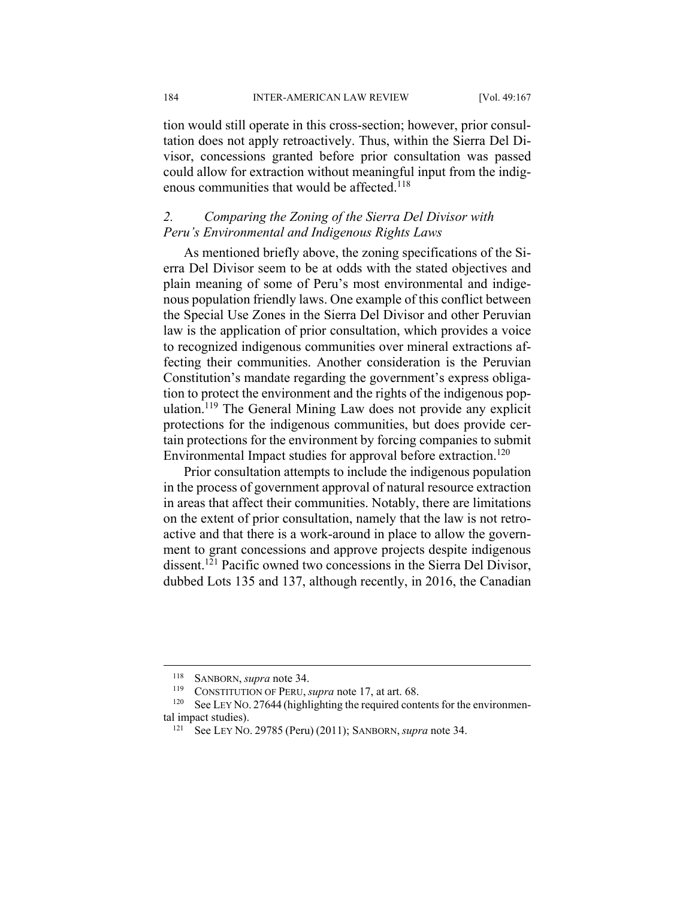184 INTER-AMERICAN LAW REVIEW [Vol. 49:167

tion would still operate in this cross-section; however, prior consultation does not apply retroactively. Thus, within the Sierra Del Divisor, concessions granted before prior consultation was passed could allow for extraction without meaningful input from the indigenous communities that would be affected.<sup>118</sup>

## *2. Comparing the Zoning of the Sierra Del Divisor with Peru's Environmental and Indigenous Rights Laws*

As mentioned briefly above, the zoning specifications of the Sierra Del Divisor seem to be at odds with the stated objectives and plain meaning of some of Peru's most environmental and indigenous population friendly laws. One example of this conflict between the Special Use Zones in the Sierra Del Divisor and other Peruvian law is the application of prior consultation, which provides a voice to recognized indigenous communities over mineral extractions affecting their communities. Another consideration is the Peruvian Constitution's mandate regarding the government's express obligation to protect the environment and the rights of the indigenous population.<sup>119</sup> The General Mining Law does not provide any explicit protections for the indigenous communities, but does provide certain protections for the environment by forcing companies to submit Environmental Impact studies for approval before extraction.<sup>120</sup>

Prior consultation attempts to include the indigenous population in the process of government approval of natural resource extraction in areas that affect their communities. Notably, there are limitations on the extent of prior consultation, namely that the law is not retroactive and that there is a work-around in place to allow the government to grant concessions and approve projects despite indigenous dissent.<sup>121</sup> Pacific owned two concessions in the Sierra Del Divisor, dubbed Lots 135 and 137, although recently, in 2016, the Canadian

<sup>&</sup>lt;sup>118</sup> SANBORN, *supra* note 34.<br><sup>119</sup> CONSTITUTION OF PERU, *supra* note 17, at art. 68.<br><sup>120</sup> See LEY NO. 27644 (highlighting the required contents for the environmental impact studies). 121 See LEY NO. <sup>29785</sup> (Peru) (2011); SANBORN, *supra* note 34.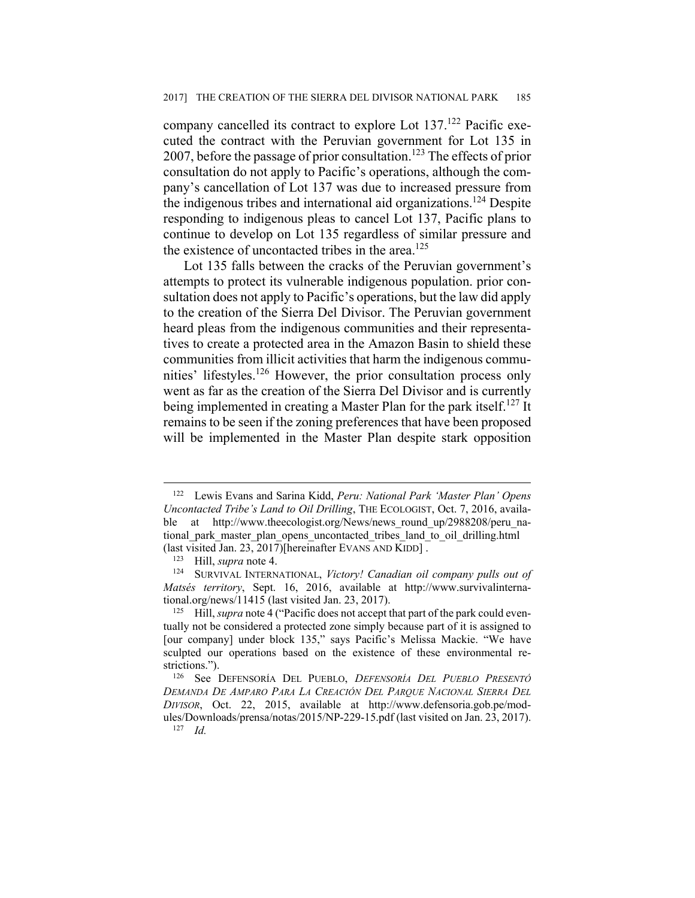company cancelled its contract to explore Lot 137.<sup>122</sup> Pacific executed the contract with the Peruvian government for Lot 135 in 2007, before the passage of prior consultation.123 The effects of prior consultation do not apply to Pacific's operations, although the company's cancellation of Lot 137 was due to increased pressure from the indigenous tribes and international aid organizations.<sup>124</sup> Despite responding to indigenous pleas to cancel Lot 137, Pacific plans to continue to develop on Lot 135 regardless of similar pressure and the existence of uncontacted tribes in the area.<sup>125</sup>

Lot 135 falls between the cracks of the Peruvian government's attempts to protect its vulnerable indigenous population. prior consultation does not apply to Pacific's operations, but the law did apply to the creation of the Sierra Del Divisor. The Peruvian government heard pleas from the indigenous communities and their representatives to create a protected area in the Amazon Basin to shield these communities from illicit activities that harm the indigenous communities' lifestyles.126 However, the prior consultation process only went as far as the creation of the Sierra Del Divisor and is currently being implemented in creating a Master Plan for the park itself.<sup>127</sup> It remains to be seen if the zoning preferences that have been proposed will be implemented in the Master Plan despite stark opposition

<sup>122</sup> Lewis Evans and Sarina Kidd, *Peru: National Park 'Master Plan' Opens Uncontacted Tribe's Land to Oil Drilling*, THE ECOLOGIST, Oct. 7, 2016, available at http://www.theecologist.org/News/news round up/2988208/peru national park master plan opens uncontacted tribes land to oil drilling.html

<sup>(</sup>last visited Jan. 23, 2017)[hereinafter EVANS AND KIDD] . 123 Hill, *supra* note 4. 124 SURVIVAL INTERNATIONAL, *Victory! Canadian oil company pulls out of Matsés territory*, Sept. 16, 2016, available at http://www.survivalinternational.org/news/11415 (last visited Jan. 23, 2017).<br><sup>125</sup> Hill, *supra* note 4 ("Pacific does not accept that part of the park could even-

tually not be considered a protected zone simply because part of it is assigned to [our company] under block 135," says Pacific's Melissa Mackie. "We have sculpted our operations based on the existence of these environmental restrictions.").

<sup>&</sup>lt;sup>126</sup> See DEFENSORÍA DEL PUEBLO, *DEFENSORÍA DEL PUEBLO PRESENTÓ* **DEMANDA DE AMPARO PARA LA CREACIÓN DEL PARQUE NACIONAL SIERRA DEL** *DIVISOR*, Oct. 22, 2015, available at http://www.defensoria.gob.pe/modules/Downloads/prensa/notas/2015/NP-229-15.pdf (last visited on Jan. 23, 2017). 127 *Id.*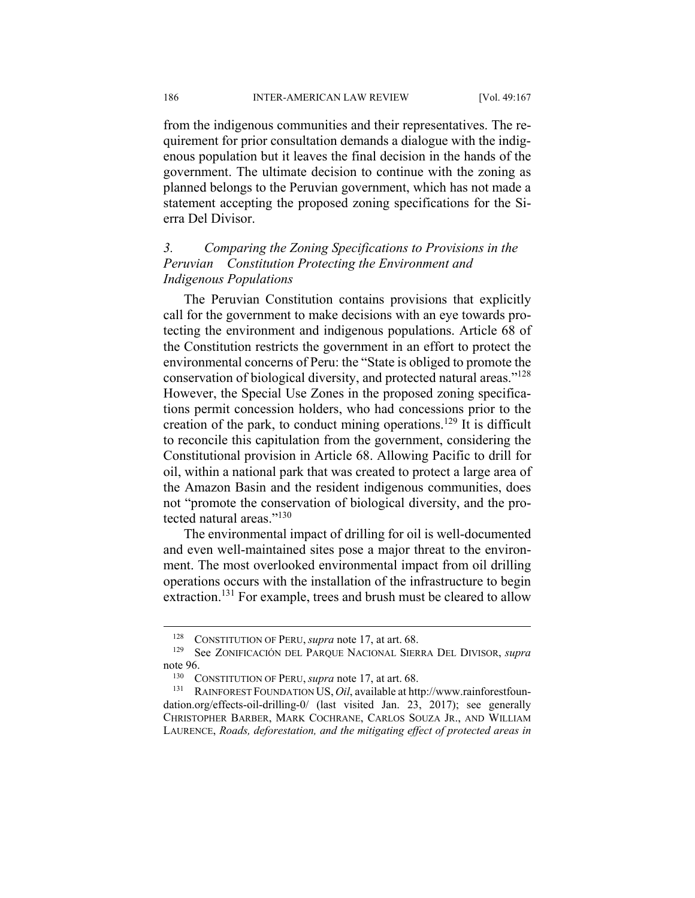186 INTER-AMERICAN LAW REVIEW [Vol. 49:167

from the indigenous communities and their representatives. The requirement for prior consultation demands a dialogue with the indigenous population but it leaves the final decision in the hands of the government. The ultimate decision to continue with the zoning as planned belongs to the Peruvian government, which has not made a statement accepting the proposed zoning specifications for the Sierra Del Divisor.

## *3. Comparing the Zoning Specifications to Provisions in the Peruvian Constitution Protecting the Environment and Indigenous Populations*

The Peruvian Constitution contains provisions that explicitly call for the government to make decisions with an eye towards protecting the environment and indigenous populations. Article 68 of the Constitution restricts the government in an effort to protect the environmental concerns of Peru: the "State is obliged to promote the conservation of biological diversity, and protected natural areas."128 However, the Special Use Zones in the proposed zoning specifications permit concession holders, who had concessions prior to the creation of the park, to conduct mining operations.<sup>129</sup> It is difficult to reconcile this capitulation from the government, considering the Constitutional provision in Article 68. Allowing Pacific to drill for oil, within a national park that was created to protect a large area of the Amazon Basin and the resident indigenous communities, does not "promote the conservation of biological diversity, and the protected natural areas."130

The environmental impact of drilling for oil is well-documented and even well-maintained sites pose a major threat to the environment. The most overlooked environmental impact from oil drilling operations occurs with the installation of the infrastructure to begin extraction.<sup>131</sup> For example, trees and brush must be cleared to allow

<sup>128</sup> CONSTITUTION OF PERU, *supra* note 17, at art. 68. 129 See ZONIFICACIÓN DEL PARQUE NACIONAL SIERRA DEL DIVISOR, *supra* note 96.<br><sup>130</sup> CONSTITUTION OF PERU, *supra* note 17, at art. 68.<br><sup>131</sup> RAINFOREST FOUNDATION US, *Oil*, available at http://www.rainforestfoun-

dation.org/effects-oil-drilling-0/ (last visited Jan. 23, 2017); see generally CHRISTOPHER BARBER, MARK COCHRANE, CARLOS SOUZA JR., AND WILLIAM LAURENCE, *Roads, deforestation, and the mitigating effect of protected areas in*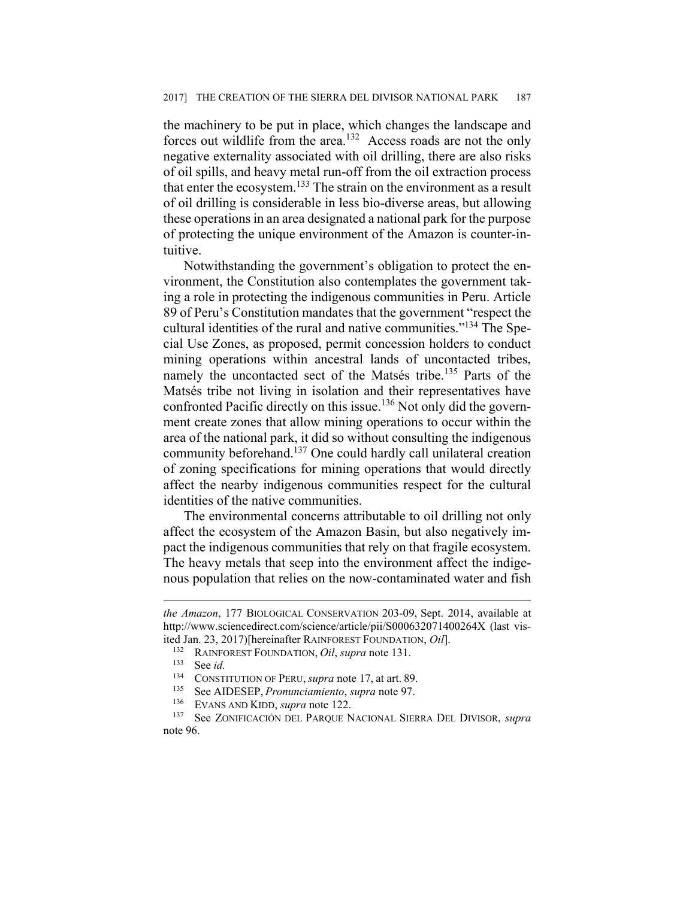the machinery to be put in place, which changes the landscape and forces out wildlife from the area.<sup>132</sup> Access roads are not the only negative externality associated with oil drilling, there are also risks of oil spills, and heavy metal run-off from the oil extraction process that enter the ecosystem.<sup>133</sup> The strain on the environment as a result of oil drilling is considerable in less bio-diverse areas, but allowing these operations in an area designated a national park for the purpose of protecting the unique environment of the Amazon is counter-intuitive.

Notwithstanding the government's obligation to protect the environment, the Constitution also contemplates the government taking a role in protecting the indigenous communities in Peru. Article 89 of Peru's Constitution mandates that the government "respect the cultural identities of the rural and native communities."134 The Special Use Zones, as proposed, permit concession holders to conduct mining operations within ancestral lands of uncontacted tribes, namely the uncontacted sect of the Matsés tribe.<sup>135</sup> Parts of the Matsés tribe not living in isolation and their representatives have confronted Pacific directly on this issue.<sup>136</sup> Not only did the government create zones that allow mining operations to occur within the area of the national park, it did so without consulting the indigenous community beforehand.<sup>137</sup> One could hardly call unilateral creation of zoning specifications for mining operations that would directly affect the nearby indigenous communities respect for the cultural identities of the native communities.

The environmental concerns attributable to oil drilling not only affect the ecosystem of the Amazon Basin, but also negatively impact the indigenous communities that rely on that fragile ecosystem. The heavy metals that seep into the environment affect the indigenous population that relies on the now-contaminated water and fish

*the Amazon*, 177 BIOLOGICAL CONSERVATION 203-09, Sept. 2014, available at http://www.sciencedirect.com/science/article/pii/S000632071400264X (last visited Jan. 23, 2017)[hereinafter RAINFOREST FOUNDATION, *Oil*]. 132 RAINFOREST FOUNDATION, *Oil*, *supra* note 131. 133 See *id.*

<sup>&</sup>lt;sup>134</sup> CONSTITUTION OF PERU, *supra* note 17, at art. 89.<br><sup>135</sup> See AIDESEP, *Pronunciamiento*, *supra* note 97.<br><sup>136</sup> EVANS AND KIDD, *supra* note 122.<br><sup>137</sup> See ZONIFICACIÓN DEL PARQUE NACIONAL SIERRA DEL DIVISOR, *supra* note 96.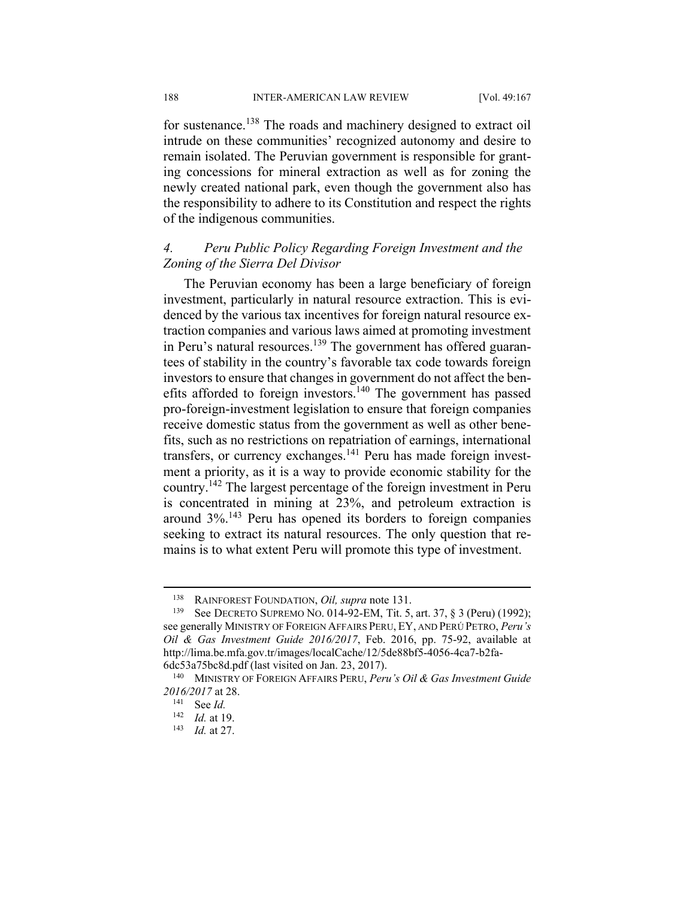188 INTER-AMERICAN LAW REVIEW [Vol. 49:167

for sustenance.<sup>138</sup> The roads and machinery designed to extract oil intrude on these communities' recognized autonomy and desire to remain isolated. The Peruvian government is responsible for granting concessions for mineral extraction as well as for zoning the newly created national park, even though the government also has the responsibility to adhere to its Constitution and respect the rights of the indigenous communities.

## *4. Peru Public Policy Regarding Foreign Investment and the Zoning of the Sierra Del Divisor*

The Peruvian economy has been a large beneficiary of foreign investment, particularly in natural resource extraction. This is evidenced by the various tax incentives for foreign natural resource extraction companies and various laws aimed at promoting investment in Peru's natural resources.<sup>139</sup> The government has offered guarantees of stability in the country's favorable tax code towards foreign investors to ensure that changes in government do not affect the benefits afforded to foreign investors.<sup>140</sup> The government has passed pro-foreign-investment legislation to ensure that foreign companies receive domestic status from the government as well as other benefits, such as no restrictions on repatriation of earnings, international transfers, or currency exchanges.141 Peru has made foreign investment a priority, as it is a way to provide economic stability for the country.142 The largest percentage of the foreign investment in Peru is concentrated in mining at 23%, and petroleum extraction is around  $3\%$ .<sup>143</sup> Peru has opened its borders to foreign companies seeking to extract its natural resources. The only question that remains is to what extent Peru will promote this type of investment.

<sup>&</sup>lt;sup>138</sup> RAINFOREST FOUNDATION, *Oil, supra* note 131.<br><sup>139</sup> See DECRETO SUPREMO NO. 014-92-EM, Tit. 5, art. 37, § 3 (Peru) (1992); see generally MINISTRY OF FOREIGN AFFAIRS PERU, EY, AND PERÚ PETRO, *Peru's Oil & Gas Investment Guide 2016/2017*, Feb. 2016, pp. 75-92, available at http://lima.be.mfa.gov.tr/images/localCache/12/5de88bf5-4056-4ca7-b2fa-

<sup>6</sup>dc53a75bc8d.pdf (last visited on Jan. 23, 2017). 140 MINISTRY OF FOREIGN AFFAIRS PERU, *Peru's Oil & Gas Investment Guide*  2016/2017 at 28.<br><sup>141</sup> See *Id.*<br><sup>142</sup> *Id.* at 19.

<sup>&</sup>lt;sup>143</sup> *Id.* at 27.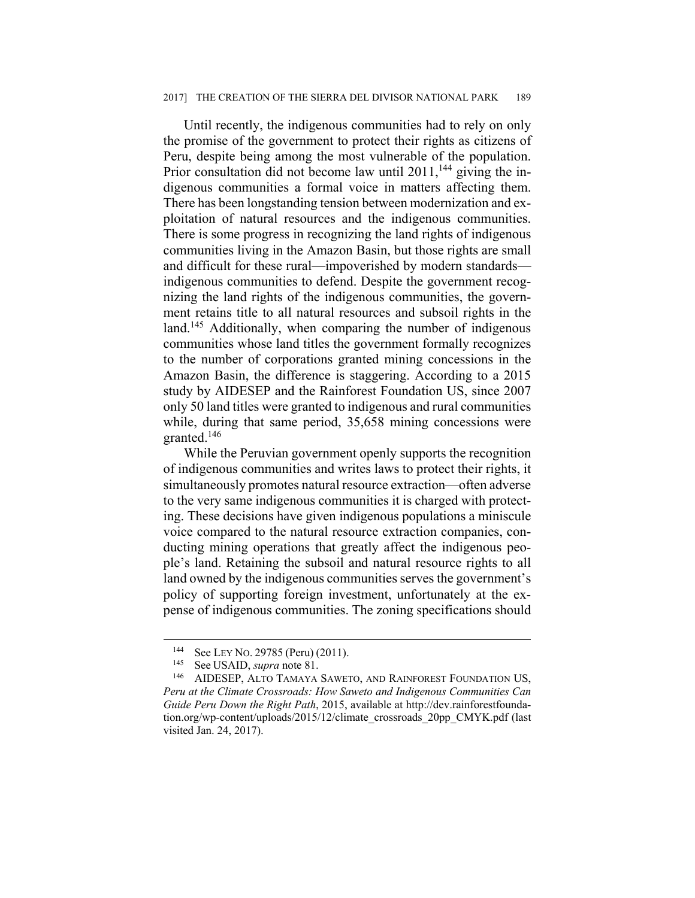Until recently, the indigenous communities had to rely on only the promise of the government to protect their rights as citizens of Peru, despite being among the most vulnerable of the population. Prior consultation did not become law until  $2011$ ,<sup>144</sup> giving the indigenous communities a formal voice in matters affecting them. There has been longstanding tension between modernization and exploitation of natural resources and the indigenous communities. There is some progress in recognizing the land rights of indigenous communities living in the Amazon Basin, but those rights are small and difficult for these rural—impoverished by modern standards indigenous communities to defend. Despite the government recognizing the land rights of the indigenous communities, the government retains title to all natural resources and subsoil rights in the land.<sup>145</sup> Additionally, when comparing the number of indigenous communities whose land titles the government formally recognizes to the number of corporations granted mining concessions in the Amazon Basin, the difference is staggering. According to a 2015 study by AIDESEP and the Rainforest Foundation US, since 2007 only 50 land titles were granted to indigenous and rural communities while, during that same period, 35,658 mining concessions were granted.146

While the Peruvian government openly supports the recognition of indigenous communities and writes laws to protect their rights, it simultaneously promotes natural resource extraction—often adverse to the very same indigenous communities it is charged with protecting. These decisions have given indigenous populations a miniscule voice compared to the natural resource extraction companies, conducting mining operations that greatly affect the indigenous people's land. Retaining the subsoil and natural resource rights to all land owned by the indigenous communities serves the government's policy of supporting foreign investment, unfortunately at the expense of indigenous communities. The zoning specifications should

1

<sup>&</sup>lt;sup>144</sup> See LEY No. 29785 (Peru) (2011).<br><sup>145</sup> See USAID, *supra* note 81.<br><sup>146</sup> AIDESEP, ALTO TAMAYA SAWETO, AND RAINFOREST FOUNDATION US, *Peru at the Climate Crossroads: How Saweto and Indigenous Communities Can Guide Peru Down the Right Path*, 2015, available at http://dev.rainforestfoundation.org/wp-content/uploads/2015/12/climate\_crossroads\_20pp\_CMYK.pdf (last visited Jan. 24, 2017).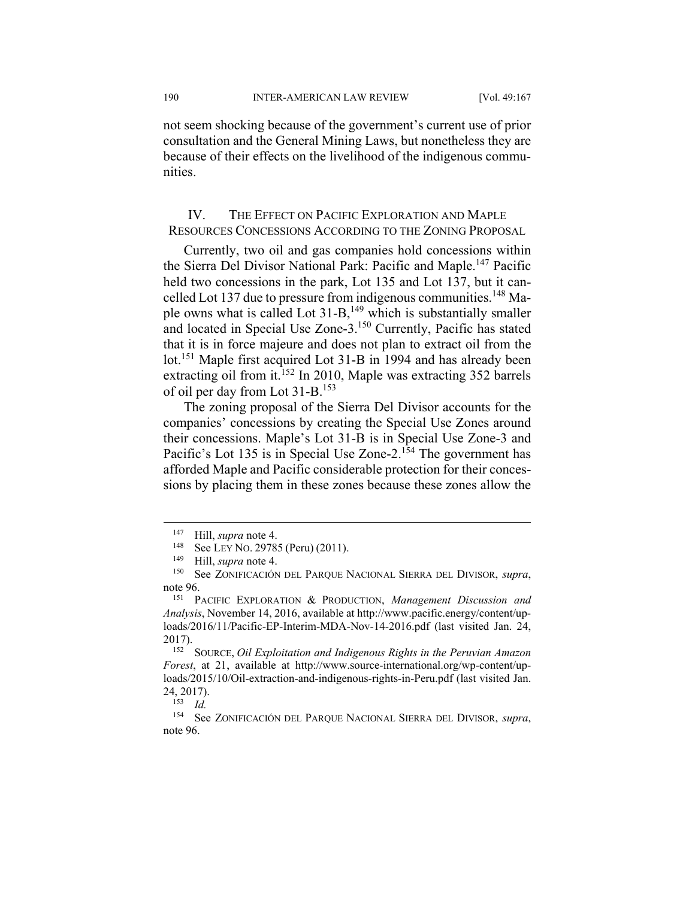not seem shocking because of the government's current use of prior consultation and the General Mining Laws, but nonetheless they are because of their effects on the livelihood of the indigenous communities.

## IV. THE EFFECT ON PACIFIC EXPLORATION AND MAPLE RESOURCES CONCESSIONS ACCORDING TO THE ZONING PROPOSAL

Currently, two oil and gas companies hold concessions within the Sierra Del Divisor National Park: Pacific and Maple.<sup>147</sup> Pacific held two concessions in the park, Lot 135 and Lot 137, but it cancelled Lot 137 due to pressure from indigenous communities.<sup>148</sup> Maple owns what is called Lot  $31-B$ ,<sup>149</sup> which is substantially smaller and located in Special Use Zone-3.150 Currently, Pacific has stated that it is in force majeure and does not plan to extract oil from the lot.<sup>151</sup> Maple first acquired Lot 31-B in 1994 and has already been extracting oil from it.<sup>152</sup> In 2010, Maple was extracting 352 barrels of oil per day from Lot 31-B.<sup>153</sup>

The zoning proposal of the Sierra Del Divisor accounts for the companies' concessions by creating the Special Use Zones around their concessions. Maple's Lot 31-B is in Special Use Zone-3 and Pacific's Lot 135 is in Special Use Zone-2.<sup>154</sup> The government has afforded Maple and Pacific considerable protection for their concessions by placing them in these zones because these zones allow the

<sup>147</sup> Hill, *supra* note 4. 148 See LEY NO. <sup>29785</sup> (Peru) (2011). 149 Hill, *supra* note 4. 150 See ZONIFICACIÓN DEL PARQUE NACIONAL SIERRA DEL DIVISOR, *supra*, note 96. 151 PACIFIC EXPLORATION & PRODUCTION, *Management Discussion and* 

*Analysis*, November 14, 2016, available at http://www.pacific.energy/content/uploads/2016/11/Pacific-EP-Interim-MDA-Nov-14-2016.pdf (last visited Jan. 24, 2017). 152 SOURCE, *Oil Exploitation and Indigenous Rights in the Peruvian Amazon* 

*Forest*, at 21, available at http://www.source-international.org/wp-content/uploads/2015/10/Oil-extraction-and-indigenous-rights-in-Peru.pdf (last visited Jan. 24, 2017). 153 *Id.*

<sup>154</sup> See ZONIFICACIÓN DEL PARQUE NACIONAL SIERRA DEL DIVISOR, *supra*, note 96.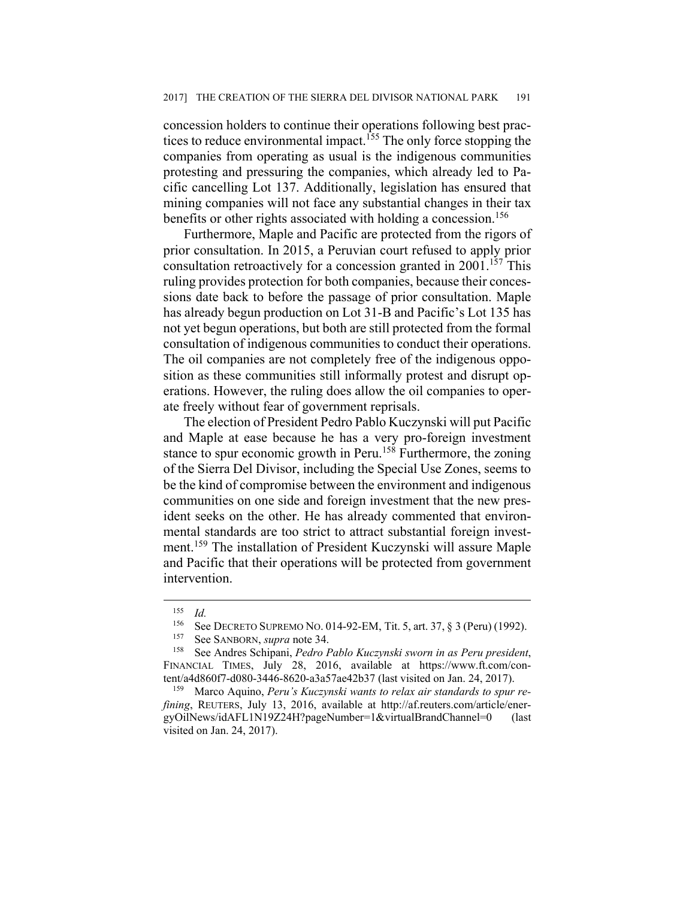concession holders to continue their operations following best practices to reduce environmental impact.<sup>155</sup> The only force stopping the companies from operating as usual is the indigenous communities protesting and pressuring the companies, which already led to Pacific cancelling Lot 137. Additionally, legislation has ensured that mining companies will not face any substantial changes in their tax benefits or other rights associated with holding a concession.<sup>156</sup>

Furthermore, Maple and Pacific are protected from the rigors of prior consultation. In 2015, a Peruvian court refused to apply prior consultation retroactively for a concession granted in 2001.<sup>157</sup> This ruling provides protection for both companies, because their concessions date back to before the passage of prior consultation. Maple has already begun production on Lot 31-B and Pacific's Lot 135 has not yet begun operations, but both are still protected from the formal consultation of indigenous communities to conduct their operations. The oil companies are not completely free of the indigenous opposition as these communities still informally protest and disrupt operations. However, the ruling does allow the oil companies to operate freely without fear of government reprisals.

The election of President Pedro Pablo Kuczynski will put Pacific and Maple at ease because he has a very pro-foreign investment stance to spur economic growth in Peru.<sup>158</sup> Furthermore, the zoning of the Sierra Del Divisor, including the Special Use Zones, seems to be the kind of compromise between the environment and indigenous communities on one side and foreign investment that the new president seeks on the other. He has already commented that environmental standards are too strict to attract substantial foreign investment.159 The installation of President Kuczynski will assure Maple and Pacific that their operations will be protected from government intervention.

1

 $\frac{155}{156}$  *Id.* 

<sup>&</sup>lt;sup>156</sup> See DECRETO SUPREMO NO. 014-92-EM, Tit. 5, art. 37, § 3 (Peru) (1992).<br><sup>157</sup> See SANBORN, supra note 34

<sup>157</sup> See SANBORN, *supra* note 34. 158 See Andres Schipani, *Pedro Pablo Kuczynski sworn in as Peru president*, FINANCIAL TIMES, July 28, 2016, available at https://www.ft.com/content/a4d860f7-d080-3446-8620-a3a57ae42b37 (last visited on Jan. 24, 2017). 159 Marco Aquino, *Peru's Kuczynski wants to relax air standards to spur re-*

*fining*, REUTERS, July 13, 2016, available at http://af.reuters.com/article/energyOilNews/idAFL1N19Z24H?pageNumber=1&virtualBrandChannel=0 (last visited on Jan. 24, 2017).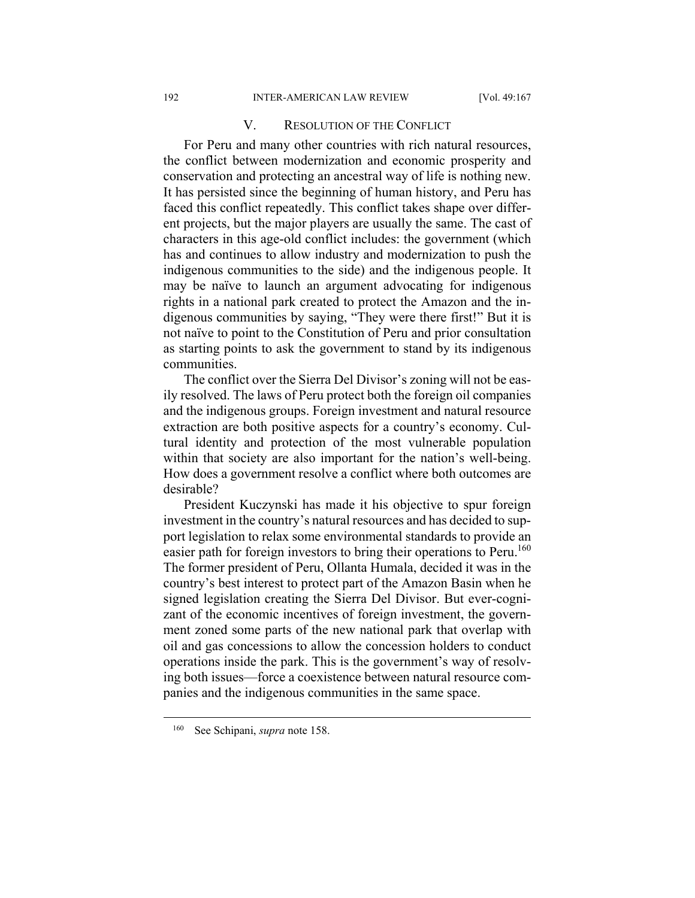#### 192 INTER-AMERICAN LAW REVIEW [Vol. 49:167

## V. RESOLUTION OF THE CONFLICT

For Peru and many other countries with rich natural resources, the conflict between modernization and economic prosperity and conservation and protecting an ancestral way of life is nothing new. It has persisted since the beginning of human history, and Peru has faced this conflict repeatedly. This conflict takes shape over different projects, but the major players are usually the same. The cast of characters in this age-old conflict includes: the government (which has and continues to allow industry and modernization to push the indigenous communities to the side) and the indigenous people. It may be naïve to launch an argument advocating for indigenous rights in a national park created to protect the Amazon and the indigenous communities by saying, "They were there first!" But it is not naïve to point to the Constitution of Peru and prior consultation as starting points to ask the government to stand by its indigenous communities.

The conflict over the Sierra Del Divisor's zoning will not be easily resolved. The laws of Peru protect both the foreign oil companies and the indigenous groups. Foreign investment and natural resource extraction are both positive aspects for a country's economy. Cultural identity and protection of the most vulnerable population within that society are also important for the nation's well-being. How does a government resolve a conflict where both outcomes are desirable?

President Kuczynski has made it his objective to spur foreign investment in the country's natural resources and has decided to support legislation to relax some environmental standards to provide an easier path for foreign investors to bring their operations to Peru.<sup>160</sup> The former president of Peru, Ollanta Humala, decided it was in the country's best interest to protect part of the Amazon Basin when he signed legislation creating the Sierra Del Divisor. But ever-cognizant of the economic incentives of foreign investment, the government zoned some parts of the new national park that overlap with oil and gas concessions to allow the concession holders to conduct operations inside the park. This is the government's way of resolving both issues—force a coexistence between natural resource companies and the indigenous communities in the same space.

<sup>160</sup> See Schipani, *supra* note 158.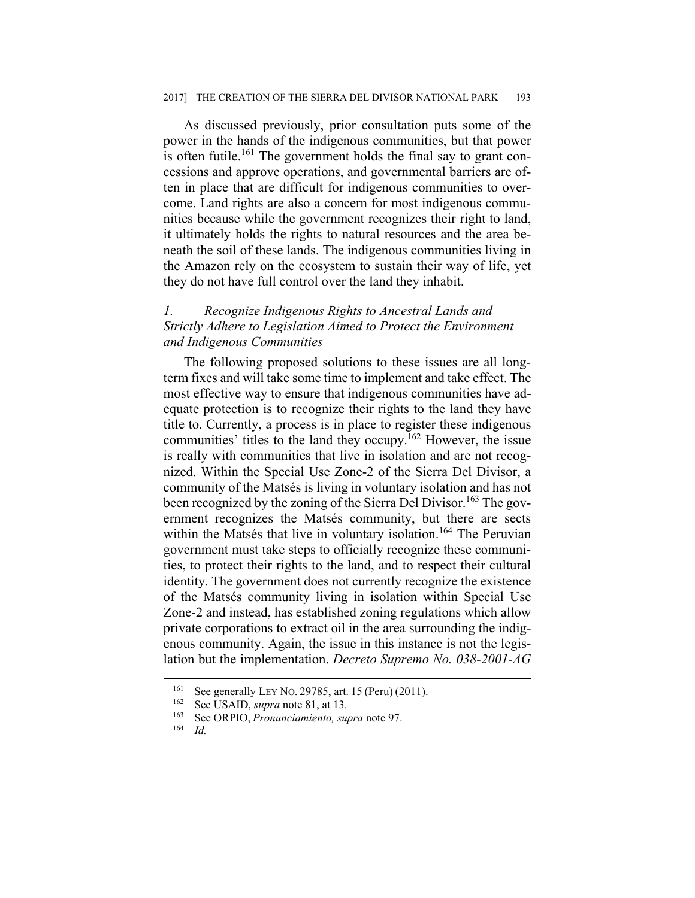#### 2017] THE CREATION OF THE SIERRA DEL DIVISOR NATIONAL PARK 193

As discussed previously, prior consultation puts some of the power in the hands of the indigenous communities, but that power is often futile.<sup>161</sup> The government holds the final say to grant concessions and approve operations, and governmental barriers are often in place that are difficult for indigenous communities to overcome. Land rights are also a concern for most indigenous communities because while the government recognizes their right to land, it ultimately holds the rights to natural resources and the area beneath the soil of these lands. The indigenous communities living in the Amazon rely on the ecosystem to sustain their way of life, yet they do not have full control over the land they inhabit.

## *1. Recognize Indigenous Rights to Ancestral Lands and Strictly Adhere to Legislation Aimed to Protect the Environment and Indigenous Communities*

The following proposed solutions to these issues are all longterm fixes and will take some time to implement and take effect. The most effective way to ensure that indigenous communities have adequate protection is to recognize their rights to the land they have title to. Currently, a process is in place to register these indigenous communities' titles to the land they occupy.<sup>162</sup> However, the issue is really with communities that live in isolation and are not recognized. Within the Special Use Zone-2 of the Sierra Del Divisor, a community of the Matsés is living in voluntary isolation and has not been recognized by the zoning of the Sierra Del Divisor.<sup>163</sup> The government recognizes the Matsés community, but there are sects within the Matsés that live in voluntary isolation.<sup>164</sup> The Peruvian government must take steps to officially recognize these communities, to protect their rights to the land, and to respect their cultural identity. The government does not currently recognize the existence of the Matsés community living in isolation within Special Use Zone-2 and instead, has established zoning regulations which allow private corporations to extract oil in the area surrounding the indigenous community. Again, the issue in this instance is not the legislation but the implementation. *Decreto Supremo No. 038-2001-AG* 

1

<sup>161</sup> See generally LEY NO. 29785, art. 15 (Peru) (2011).<br>
<sup>162</sup> See USAID, *supra* note 81, at 13.<br>
<sup>163</sup> See ORPIO, *Pronunciamiento, supra* note 97.<br>
<sup>164</sup> *Id.*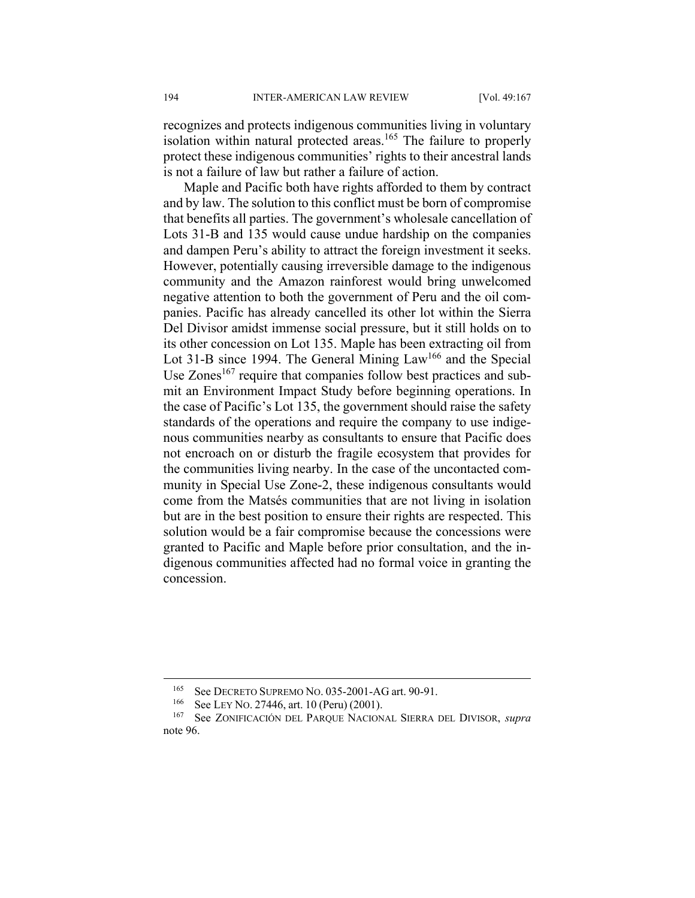recognizes and protects indigenous communities living in voluntary isolation within natural protected areas.<sup>165</sup> The failure to properly protect these indigenous communities' rights to their ancestral lands is not a failure of law but rather a failure of action.

Maple and Pacific both have rights afforded to them by contract and by law. The solution to this conflict must be born of compromise that benefits all parties. The government's wholesale cancellation of Lots 31-B and 135 would cause undue hardship on the companies and dampen Peru's ability to attract the foreign investment it seeks. However, potentially causing irreversible damage to the indigenous community and the Amazon rainforest would bring unwelcomed negative attention to both the government of Peru and the oil companies. Pacific has already cancelled its other lot within the Sierra Del Divisor amidst immense social pressure, but it still holds on to its other concession on Lot 135. Maple has been extracting oil from Lot 31-B since 1994. The General Mining Law<sup>166</sup> and the Special Use Zones<sup>167</sup> require that companies follow best practices and submit an Environment Impact Study before beginning operations. In the case of Pacific's Lot 135, the government should raise the safety standards of the operations and require the company to use indigenous communities nearby as consultants to ensure that Pacific does not encroach on or disturb the fragile ecosystem that provides for the communities living nearby. In the case of the uncontacted community in Special Use Zone-2, these indigenous consultants would come from the Matsés communities that are not living in isolation but are in the best position to ensure their rights are respected. This solution would be a fair compromise because the concessions were granted to Pacific and Maple before prior consultation, and the indigenous communities affected had no formal voice in granting the concession.

<sup>165</sup> See DECRETO SUPREMO NO. 035-2001-AG art. 90-91. 166 See LEY NO. 27446, art. <sup>10</sup> (Peru) (2001). 167 See ZONIFICACIÓN DEL PARQUE NACIONAL SIERRA DEL DIVISOR, *supra* note 96.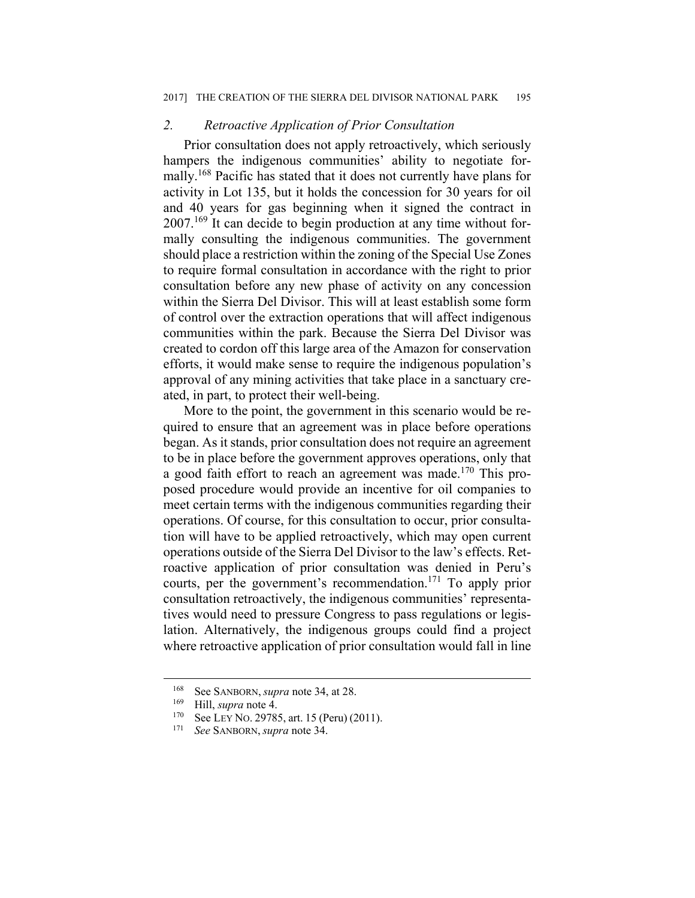#### *2. Retroactive Application of Prior Consultation*

Prior consultation does not apply retroactively, which seriously hampers the indigenous communities' ability to negotiate formally.168 Pacific has stated that it does not currently have plans for activity in Lot 135, but it holds the concession for 30 years for oil and 40 years for gas beginning when it signed the contract in 2007.169 It can decide to begin production at any time without formally consulting the indigenous communities. The government should place a restriction within the zoning of the Special Use Zones to require formal consultation in accordance with the right to prior consultation before any new phase of activity on any concession within the Sierra Del Divisor. This will at least establish some form of control over the extraction operations that will affect indigenous communities within the park. Because the Sierra Del Divisor was created to cordon off this large area of the Amazon for conservation efforts, it would make sense to require the indigenous population's approval of any mining activities that take place in a sanctuary created, in part, to protect their well-being.

More to the point, the government in this scenario would be required to ensure that an agreement was in place before operations began. As it stands, prior consultation does not require an agreement to be in place before the government approves operations, only that a good faith effort to reach an agreement was made.<sup>170</sup> This proposed procedure would provide an incentive for oil companies to meet certain terms with the indigenous communities regarding their operations. Of course, for this consultation to occur, prior consultation will have to be applied retroactively, which may open current operations outside of the Sierra Del Divisor to the law's effects. Retroactive application of prior consultation was denied in Peru's courts, per the government's recommendation.171 To apply prior consultation retroactively, the indigenous communities' representatives would need to pressure Congress to pass regulations or legislation. Alternatively, the indigenous groups could find a project where retroactive application of prior consultation would fall in line

<sup>168</sup> See SANBORN, *supra* note 34, at 28. 169 Hill, *supra* note 4.

<sup>170</sup> See LEY NO. 29785, art. <sup>15</sup> (Peru) (2011). 171 *See* SANBORN, *supra* note 34.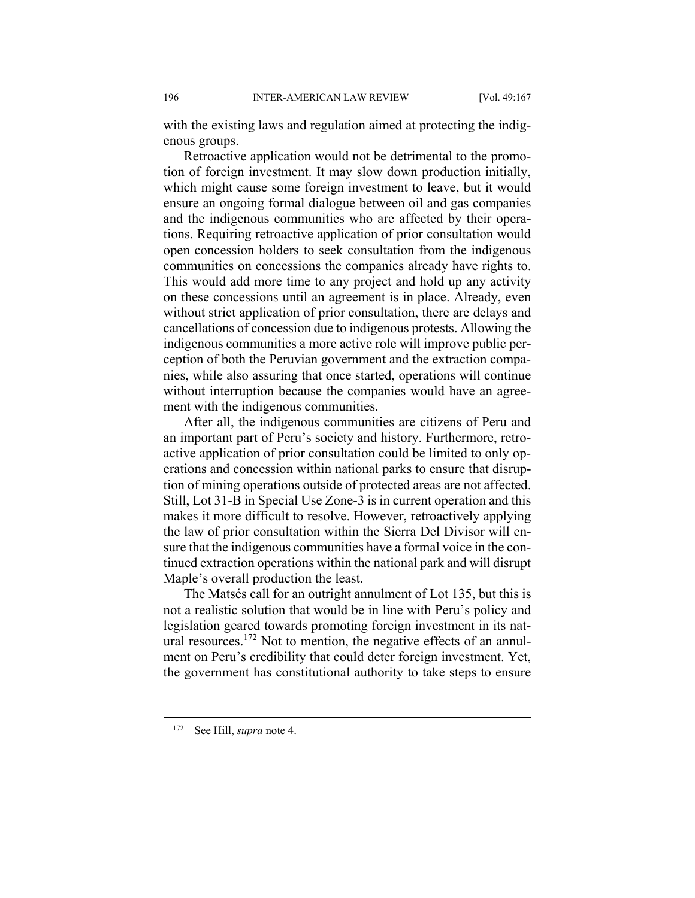with the existing laws and regulation aimed at protecting the indigenous groups.

Retroactive application would not be detrimental to the promotion of foreign investment. It may slow down production initially, which might cause some foreign investment to leave, but it would ensure an ongoing formal dialogue between oil and gas companies and the indigenous communities who are affected by their operations. Requiring retroactive application of prior consultation would open concession holders to seek consultation from the indigenous communities on concessions the companies already have rights to. This would add more time to any project and hold up any activity on these concessions until an agreement is in place. Already, even without strict application of prior consultation, there are delays and cancellations of concession due to indigenous protests. Allowing the indigenous communities a more active role will improve public perception of both the Peruvian government and the extraction companies, while also assuring that once started, operations will continue without interruption because the companies would have an agreement with the indigenous communities.

After all, the indigenous communities are citizens of Peru and an important part of Peru's society and history. Furthermore, retroactive application of prior consultation could be limited to only operations and concession within national parks to ensure that disruption of mining operations outside of protected areas are not affected. Still, Lot 31-B in Special Use Zone-3 is in current operation and this makes it more difficult to resolve. However, retroactively applying the law of prior consultation within the Sierra Del Divisor will ensure that the indigenous communities have a formal voice in the continued extraction operations within the national park and will disrupt Maple's overall production the least.

The Matsés call for an outright annulment of Lot 135, but this is not a realistic solution that would be in line with Peru's policy and legislation geared towards promoting foreign investment in its natural resources.<sup>172</sup> Not to mention, the negative effects of an annulment on Peru's credibility that could deter foreign investment. Yet, the government has constitutional authority to take steps to ensure

<sup>172</sup> See Hill, *supra* note 4.